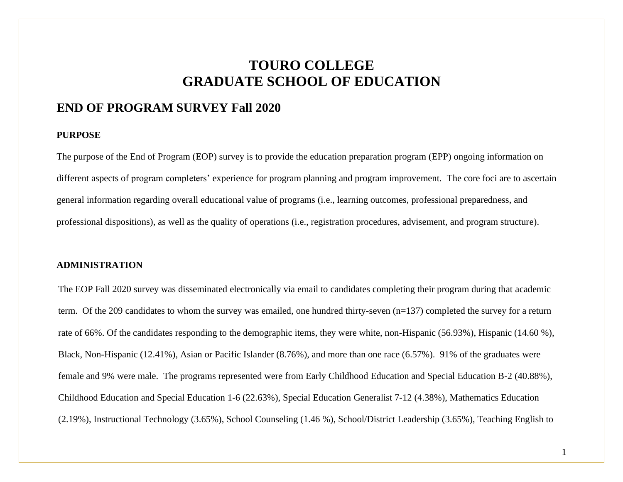## **TOURO COLLEGE GRADUATE SCHOOL OF EDUCATION**

## **END OF PROGRAM SURVEY Fall 2020**

#### **PURPOSE**

The purpose of the End of Program (EOP) survey is to provide the education preparation program (EPP) ongoing information on different aspects of program completers' experience for program planning and program improvement. The core foci are to ascertain general information regarding overall educational value of programs (i.e., learning outcomes, professional preparedness, and professional dispositions), as well as the quality of operations (i.e., registration procedures, advisement, and program structure).

#### **ADMINISTRATION**

The EOP Fall 2020 survey was disseminated electronically via email to candidates completing their program during that academic term. Of the 209 candidates to whom the survey was emailed, one hundred thirty-seven (n=137) completed the survey for a return rate of 66%. Of the candidates responding to the demographic items, they were white, non-Hispanic (56.93%), Hispanic (14.60 %), Black, Non-Hispanic (12.41%), Asian or Pacific Islander (8.76%), and more than one race (6.57%). 91% of the graduates were female and 9% were male. The programs represented were from Early Childhood Education and Special Education B-2 (40.88%), Childhood Education and Special Education 1-6 (22.63%), Special Education Generalist 7-12 (4.38%), Mathematics Education (2.19%), Instructional Technology (3.65%), School Counseling (1.46 %), School/District Leadership (3.65%), Teaching English to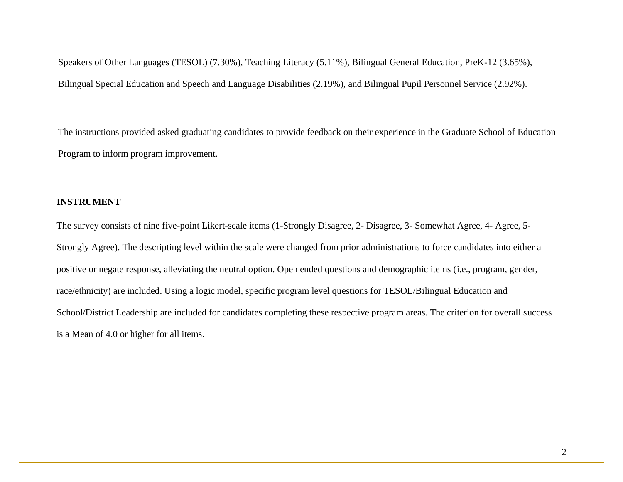Speakers of Other Languages (TESOL) (7.30%), Teaching Literacy (5.11%), Bilingual General Education, PreK-12 (3.65%), Bilingual Special Education and Speech and Language Disabilities (2.19%), and Bilingual Pupil Personnel Service (2.92%).

The instructions provided asked graduating candidates to provide feedback on their experience in the Graduate School of Education Program to inform program improvement.

#### **INSTRUMENT**

The survey consists of nine five-point Likert-scale items (1-Strongly Disagree, 2- Disagree, 3- Somewhat Agree, 4- Agree, 5- Strongly Agree). The descripting level within the scale were changed from prior administrations to force candidates into either a positive or negate response, alleviating the neutral option. Open ended questions and demographic items (i.e., program, gender, race/ethnicity) are included. Using a logic model, specific program level questions for TESOL/Bilingual Education and School/District Leadership are included for candidates completing these respective program areas. The criterion for overall success is a Mean of 4.0 or higher for all items.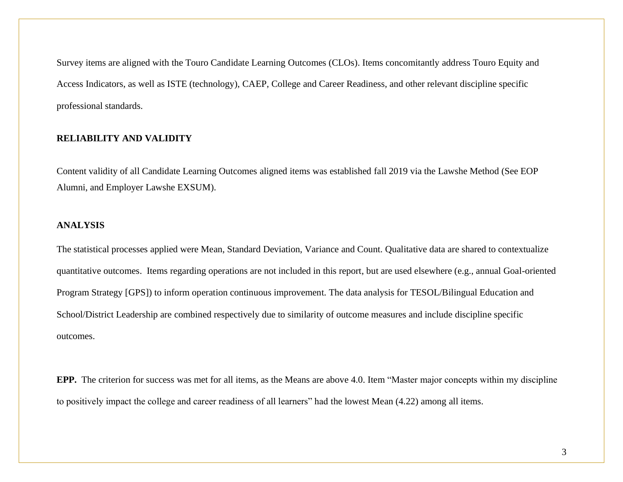Survey items are aligned with the Touro Candidate Learning Outcomes (CLOs). Items concomitantly address Touro Equity and Access Indicators, as well as ISTE (technology), CAEP, College and Career Readiness, and other relevant discipline specific professional standards.

## **RELIABILITY AND VALIDITY**

Content validity of all Candidate Learning Outcomes aligned items was established fall 2019 via the Lawshe Method (See EOP Alumni, and Employer Lawshe EXSUM).

## **ANALYSIS**

The statistical processes applied were Mean, Standard Deviation, Variance and Count. Qualitative data are shared to contextualize quantitative outcomes. Items regarding operations are not included in this report, but are used elsewhere (e.g., annual Goal-oriented Program Strategy [GPS]) to inform operation continuous improvement. The data analysis for TESOL/Bilingual Education and School/District Leadership are combined respectively due to similarity of outcome measures and include discipline specific outcomes.

**EPP.** The criterion for success was met for all items, as the Means are above 4.0. Item "Master major concepts within my discipline to positively impact the college and career readiness of all learners" had the lowest Mean (4.22) among all items.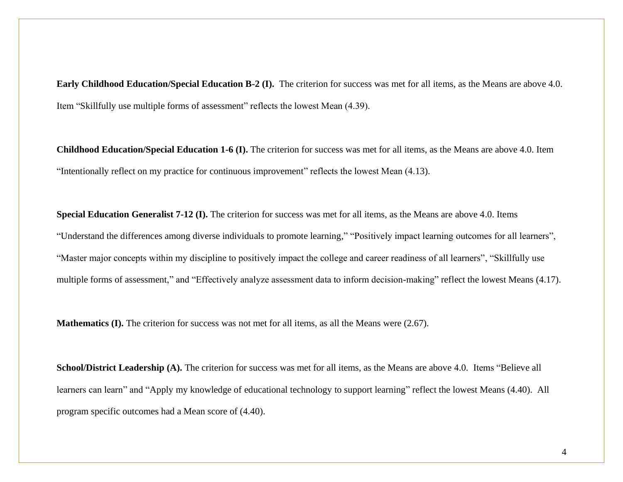**Early Childhood Education/Special Education B-2 (I).** The criterion for success was met for all items, as the Means are above 4.0. Item "Skillfully use multiple forms of assessment" reflects the lowest Mean (4.39).

**Childhood Education/Special Education 1-6 (I).** The criterion for success was met for all items, as the Means are above 4.0. Item "Intentionally reflect on my practice for continuous improvement" reflects the lowest Mean (4.13).

**Special Education Generalist 7-12 (I).** The criterion for success was met for all items, as the Means are above 4.0. Items "Understand the differences among diverse individuals to promote learning," "Positively impact learning outcomes for all learners", "Master major concepts within my discipline to positively impact the college and career readiness of all learners", "Skillfully use multiple forms of assessment," and "Effectively analyze assessment data to inform decision-making" reflect the lowest Means (4.17).

**Mathematics (I).** The criterion for success was not met for all items, as all the Means were (2.67).

**School/District Leadership (A).** The criterion for success was met for all items, as the Means are above 4.0. Items "Believe all learners can learn" and "Apply my knowledge of educational technology to support learning" reflect the lowest Means (4.40). All program specific outcomes had a Mean score of (4.40).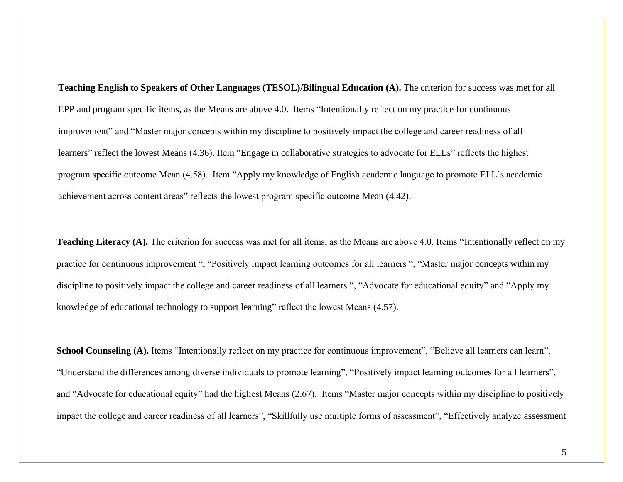**Teaching English to Speakers of Other Languages (TESOL)/Bilingual Education (A).** The criterion for success was met for all EPP and program specific items, as the Means are above 4.0. Items "Intentionally reflect on my practice for continuous improvement" and "Master major concepts within my discipline to positively impact the college and career readiness of all learners" reflect the lowest Means (4.36). Item "Engage in collaborative strategies to advocate for ELLs" reflects the highest program specific outcome Mean (4.58). Item "Apply my knowledge of English academic language to promote ELL's academic achievement across content areas" reflects the lowest program specific outcome Mean (4.42).

**Teaching Literacy (A).** The criterion for success was met for all items, as the Means are above 4.0. Items "Intentionally reflect on my practice for continuous improvement ", "Positively impact learning outcomes for all learners ", "Master major concepts within my discipline to positively impact the college and career readiness of all learners ", "Advocate for educational equity" and "Apply my knowledge of educational technology to support learning" reflect the lowest Means (4.57).

**School Counseling (A).** Items "Intentionally reflect on my practice for continuous improvement", "Believe all learners can learn", "Understand the differences among diverse individuals to promote learning", "Positively impact learning outcomes for all learners", and "Advocate for educational equity" had the highest Means (2.67). Items "Master major concepts within my discipline to positively impact the college and career readiness of all learners", "Skillfully use multiple forms of assessment", "Effectively analyze assessment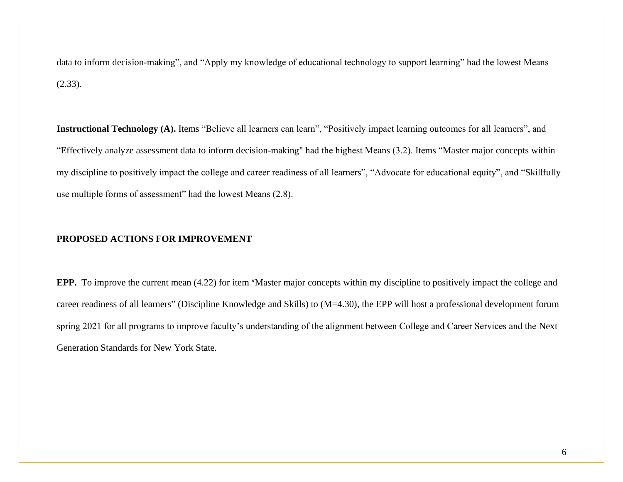data to inform decision-making", and "Apply my knowledge of educational technology to support learning" had the lowest Means (2.33).

**Instructional Technology (A).** Items "Believe all learners can learn", "Positively impact learning outcomes for all learners", and "Effectively analyze assessment data to inform decision-making" had the highest Means (3.2). Items "Master major concepts within my discipline to positively impact the college and career readiness of all learners", "Advocate for educational equity", and "Skillfully use multiple forms of assessment" had the lowest Means (2.8).

## **PROPOSED ACTIONS FOR IMPROVEMENT**

**EPP.** To improve the current mean (4.22) for item "Master major concepts within my discipline to positively impact the college and career readiness of all learners" (Discipline Knowledge and Skills) to (M=4.30), the EPP will host a professional development forum spring 2021 for all programs to improve faculty's understanding of the alignment between College and Career Services and the Next Generation Standards for New York State.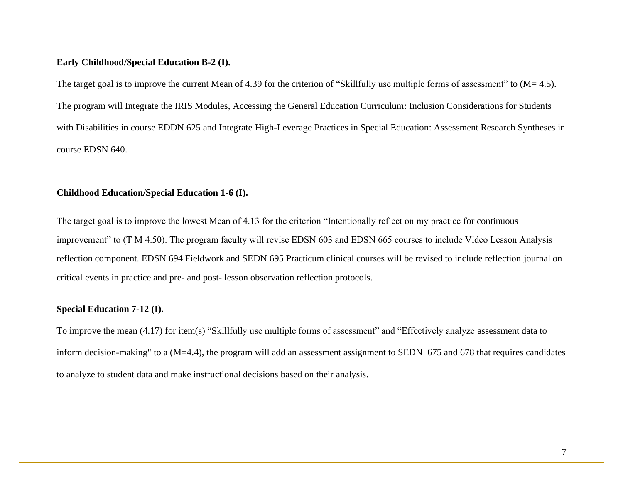#### **Early Childhood/Special Education B-2 (I).**

The target goal is to improve the current Mean of 4.39 for the criterion of "Skillfully use multiple forms of assessment" to (M= 4.5). The program will Integrate the IRIS Modules, Accessing the General Education Curriculum: Inclusion Considerations for Students with Disabilities in course EDDN 625 and Integrate High-Leverage Practices in Special Education: Assessment Research Syntheses in course EDSN 640.

## **Childhood Education/Special Education 1-6 (I).**

The target goal is to improve the lowest Mean of 4.13 for the criterion "Intentionally reflect on my practice for continuous improvement" to (T M 4.50). The program faculty will revise EDSN 603 and EDSN 665 courses to include Video Lesson Analysis reflection component. EDSN 694 Fieldwork and SEDN 695 Practicum clinical courses will be revised to include reflection journal on critical events in practice and pre- and post- lesson observation reflection protocols.

## **Special Education 7-12 (I).**

To improve the mean (4.17) for item(s) "Skillfully use multiple forms of assessment" and "Effectively analyze assessment data to inform decision-making" to a (M=4.4), the program will add an assessment assignment to SEDN 675 and 678 that requires candidates to analyze to student data and make instructional decisions based on their analysis.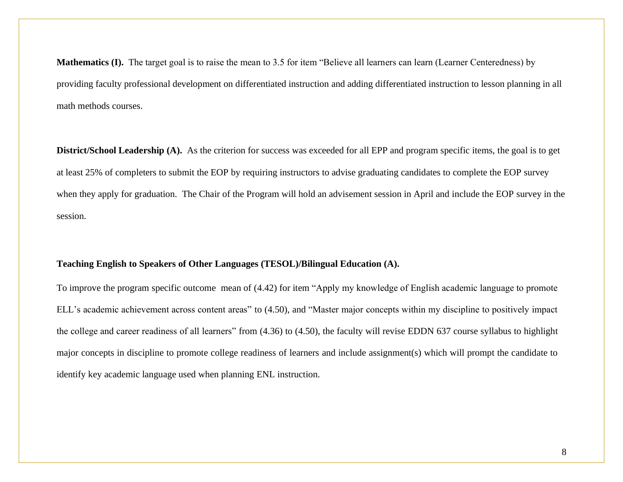**Mathematics (I).** The target goal is to raise the mean to 3.5 for item "Believe all learners can learn (Learner Centeredness) by providing faculty professional development on differentiated instruction and adding differentiated instruction to lesson planning in all math methods courses.

**District/School Leadership (A).** As the criterion for success was exceeded for all EPP and program specific items, the goal is to get at least 25% of completers to submit the EOP by requiring instructors to advise graduating candidates to complete the EOP survey when they apply for graduation. The Chair of the Program will hold an advisement session in April and include the EOP survey in the session.

## **Teaching English to Speakers of Other Languages (TESOL)/Bilingual Education (A).**

To improve the program specific outcome mean of (4.42) for item "Apply my knowledge of English academic language to promote ELL's academic achievement across content areas" to (4.50), and "Master major concepts within my discipline to positively impact the college and career readiness of all learners" from (4.36) to (4.50), the faculty will revise EDDN 637 course syllabus to highlight major concepts in discipline to promote college readiness of learners and include assignment(s) which will prompt the candidate to identify key academic language used when planning ENL instruction.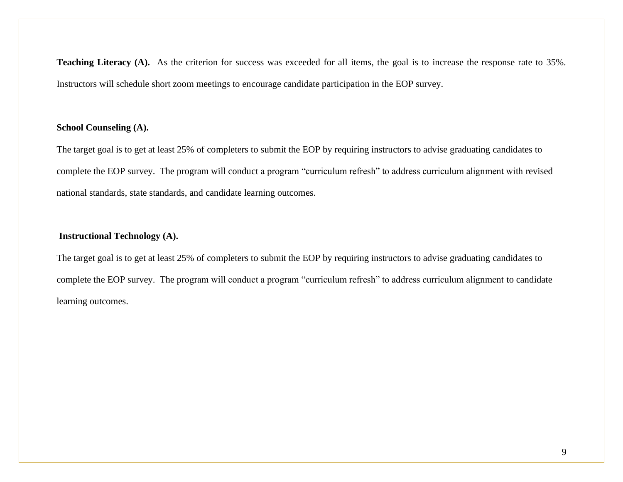**Teaching Literacy (A).** As the criterion for success was exceeded for all items, the goal is to increase the response rate to 35%. Instructors will schedule short zoom meetings to encourage candidate participation in the EOP survey.

## **School Counseling (A).**

The target goal is to get at least 25% of completers to submit the EOP by requiring instructors to advise graduating candidates to complete the EOP survey. The program will conduct a program "curriculum refresh" to address curriculum alignment with revised national standards, state standards, and candidate learning outcomes.

## **Instructional Technology (A).**

The target goal is to get at least 25% of completers to submit the EOP by requiring instructors to advise graduating candidates to complete the EOP survey. The program will conduct a program "curriculum refresh" to address curriculum alignment to candidate learning outcomes.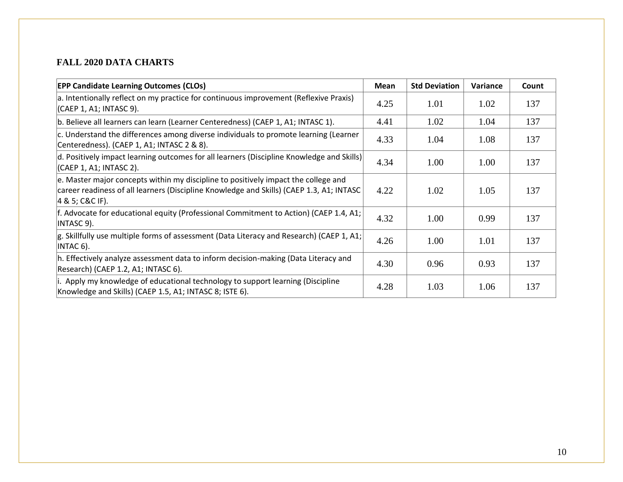## **FALL 2020 DATA CHARTS**

| <b>EPP Candidate Learning Outcomes (CLOs)</b>                                                                                                                                                     | <b>Mean</b> | <b>Std Deviation</b> | Variance | Count |
|---------------------------------------------------------------------------------------------------------------------------------------------------------------------------------------------------|-------------|----------------------|----------|-------|
| a. Intentionally reflect on my practice for continuous improvement (Reflexive Praxis)<br>(CAEP 1, A1; INTASC 9).                                                                                  | 4.25        | 1.01                 | 1.02     | 137   |
| b. Believe all learners can learn (Learner Centeredness) (CAEP 1, A1; INTASC 1).                                                                                                                  | 4.41        | 1.02                 | 1.04     | 137   |
| $\mathsf{c}$ . Understand the differences among diverse individuals to promote learning (Learner<br>Centeredness). (CAEP 1, A1; INTASC 2 & 8).                                                    | 4.33        | 1.04                 | 1.08     | 137   |
| $\vert$ d. Positively impact learning outcomes for all learners (Discipline Knowledge and Skills)<br>(CAEP 1, A1; INTASC 2).                                                                      | 4.34        | 1.00                 | 1.00     | 137   |
| e. Master major concepts within my discipline to positively impact the college and<br>career readiness of all learners (Discipline Knowledge and Skills) (CAEP 1.3, A1; INTASC<br>4 & 5; C&C IF). | 4.22        | 1.02                 | 1.05     | 137   |
| f. Advocate for educational equity (Professional Commitment to Action) (CAEP 1.4, A1;<br>INTASC 9).                                                                                               | 4.32        | 1.00                 | 0.99     | 137   |
| $ g$ . Skillfully use multiple forms of assessment (Data Literacy and Research) (CAEP 1, A1;<br>$INTAC 6$ ).                                                                                      | 4.26        | 1.00                 | 1.01     | 137   |
| h. Effectively analyze assessment data to inform decision-making (Data Literacy and<br>Research) (CAEP 1.2, A1; INTASC 6).                                                                        | 4.30        | 0.96                 | 0.93     | 137   |
| i. Apply my knowledge of educational technology to support learning (Discipline<br>Knowledge and Skills) (CAEP 1.5, A1; INTASC 8; ISTE 6).                                                        | 4.28        | 1.03                 | 1.06     | 137   |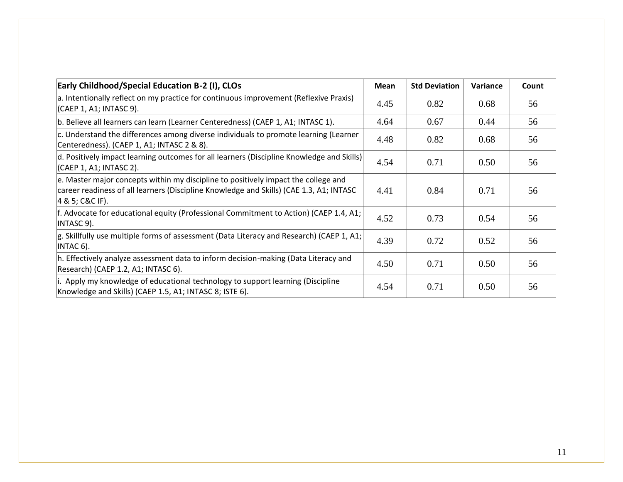| <b>Early Childhood/Special Education B-2 (I), CLOs</b>                                                                                                                                           | Mean | <b>Std Deviation</b> | Variance | Count |
|--------------------------------------------------------------------------------------------------------------------------------------------------------------------------------------------------|------|----------------------|----------|-------|
| a. Intentionally reflect on my practice for continuous improvement (Reflexive Praxis)<br>(CAEP 1, A1; INTASC 9).                                                                                 | 4.45 | 0.82                 | 0.68     | 56    |
| b. Believe all learners can learn (Learner Centeredness) (CAEP 1, A1; INTASC 1).                                                                                                                 | 4.64 | 0.67                 | 0.44     | 56    |
| $\mathsf{c}$ . Understand the differences among diverse individuals to promote learning (Learner<br>Centeredness). (CAEP 1, A1; INTASC 2 & 8).                                                   | 4.48 | 0.82                 | 0.68     | 56    |
| $\vert$ d. Positively impact learning outcomes for all learners (Discipline Knowledge and Skills)<br>(CAEP 1, A1; INTASC 2).                                                                     | 4.54 | 0.71                 | 0.50     | 56    |
| e. Master major concepts within my discipline to positively impact the college and<br>career readiness of all learners (Discipline Knowledge and Skills) (CAE 1.3, A1; INTASC<br>4 & 5; C&C IF). | 4.41 | 0.84                 | 0.71     | 56    |
| f. Advocate for educational equity (Professional Commitment to Action) (CAEP 1.4, A1;<br>INTASC 9).                                                                                              | 4.52 | 0.73                 | 0.54     | 56    |
| $g$ . Skillfully use multiple forms of assessment (Data Literacy and Research) (CAEP 1, A1;<br>$INTAC 6$ ).                                                                                      | 4.39 | 0.72                 | 0.52     | 56    |
| h. Effectively analyze assessment data to inform decision-making (Data Literacy and<br>Research) (CAEP 1.2, A1; INTASC 6).                                                                       | 4.50 | 0.71                 | 0.50     | 56    |
| i. Apply my knowledge of educational technology to support learning (Discipline<br>Knowledge and Skills) (CAEP 1.5, A1; INTASC 8; ISTE 6).                                                       | 4.54 | 0.71                 | 0.50     | 56    |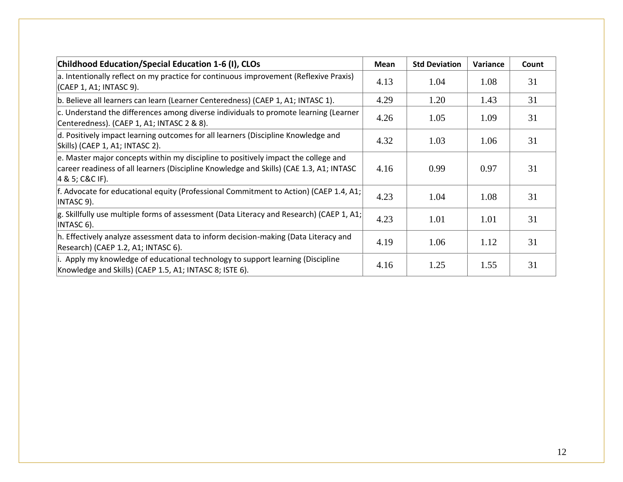| Childhood Education/Special Education 1-6 (I), CLOs                                                                                                                                                   | <b>Mean</b> | <b>Std Deviation</b> | Variance | Count |
|-------------------------------------------------------------------------------------------------------------------------------------------------------------------------------------------------------|-------------|----------------------|----------|-------|
| a. Intentionally reflect on my practice for continuous improvement (Reflexive Praxis)<br>(CAEP 1, A1; INTASC 9).                                                                                      | 4.13        | 1.04                 | 1.08     | 31    |
| b. Believe all learners can learn (Learner Centeredness) (CAEP 1, A1; INTASC 1).                                                                                                                      | 4.29        | 1.20                 | 1.43     | 31    |
| $c$ . Understand the differences among diverse individuals to promote learning (Learner<br>Centeredness). (CAEP 1, A1; INTASC 2 & 8).                                                                 | 4.26        | 1.05                 | 1.09     | 31    |
| d. Positively impact learning outcomes for all learners (Discipline Knowledge and<br>Skills) (CAEP 1, A1; INTASC 2).                                                                                  | 4.32        | 1.03                 | 1.06     | 31    |
| e. Master major concepts within my discipline to positively impact the college and<br>career readiness of all learners (Discipline Knowledge and Skills) (CAE 1.3, A1; INTASC<br>$ 4 \& 5; C\&C$ IF). | 4.16        | 0.99                 | 0.97     | 31    |
| f. Advocate for educational equity (Professional Commitment to Action) (CAEP 1.4, A1;<br> INTASC 9).                                                                                                  | 4.23        | 1.04                 | 1.08     | 31    |
| $ g$ . Skillfully use multiple forms of assessment (Data Literacy and Research) (CAEP 1, A1;<br>INTASC 6).                                                                                            | 4.23        | 1.01                 | 1.01     | 31    |
| h. Effectively analyze assessment data to inform decision-making (Data Literacy and<br>Research) (CAEP 1.2, A1; INTASC 6).                                                                            | 4.19        | 1.06                 | 1.12     | 31    |
| i. Apply my knowledge of educational technology to support learning (Discipline<br>Knowledge and Skills) (CAEP 1.5, A1; INTASC 8; ISTE 6).                                                            | 4.16        | 1.25                 | 1.55     | 31    |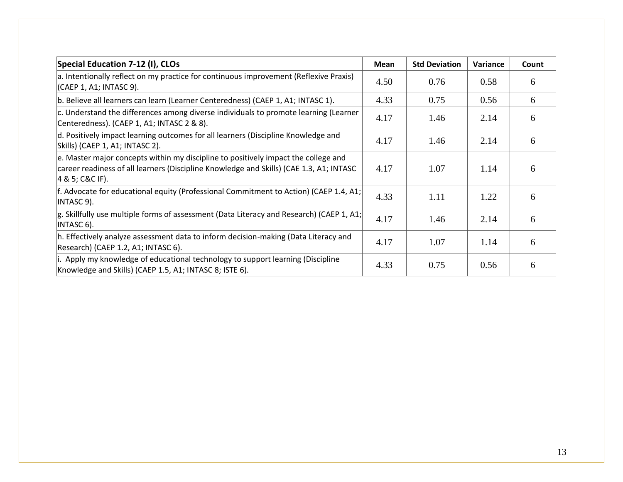| Special Education 7-12 (I), CLOs                                                                                                                                                                 | <b>Mean</b> | <b>Std Deviation</b> | <b>Variance</b> | Count |
|--------------------------------------------------------------------------------------------------------------------------------------------------------------------------------------------------|-------------|----------------------|-----------------|-------|
| a. Intentionally reflect on my practice for continuous improvement (Reflexive Praxis)<br>(CAEP 1, A1; INTASC 9).                                                                                 | 4.50        | 0.76                 | 0.58            | 6     |
| b. Believe all learners can learn (Learner Centeredness) (CAEP 1, A1; INTASC 1).                                                                                                                 | 4.33        | 0.75                 | 0.56            | 6     |
| c. Understand the differences among diverse individuals to promote learning (Learner<br>Centeredness). (CAEP 1, A1; INTASC 2 & 8).                                                               | 4.17        | 1.46                 | 2.14            | 6     |
| d. Positively impact learning outcomes for all learners (Discipline Knowledge and<br>Skills) (CAEP 1, A1; INTASC 2).                                                                             | 4.17        | 1.46                 | 2.14            | 6     |
| e. Master major concepts within my discipline to positively impact the college and<br>career readiness of all learners (Discipline Knowledge and Skills) (CAE 1.3, A1; INTASC<br>4 & 5; C&C IF). | 4.17        | 1.07                 | 1.14            | 6     |
| $ f$ . Advocate for educational equity (Professional Commitment to Action) (CAEP 1.4, A1;<br>INTASC 9).                                                                                          | 4.33        | 1.11                 | 1.22            | 6     |
| $ g$ . Skillfully use multiple forms of assessment (Data Literacy and Research) (CAEP 1, A1;<br>INTASC 6).                                                                                       | 4.17        | 1.46                 | 2.14            | 6     |
| h. Effectively analyze assessment data to inform decision-making (Data Literacy and<br>Research) (CAEP 1.2, A1; INTASC 6).                                                                       | 4.17        | 1.07                 | 1.14            | 6     |
| i. Apply my knowledge of educational technology to support learning (Discipline<br>Knowledge and Skills) (CAEP 1.5, A1; INTASC 8; ISTE 6).                                                       | 4.33        | 0.75                 | 0.56            | 6     |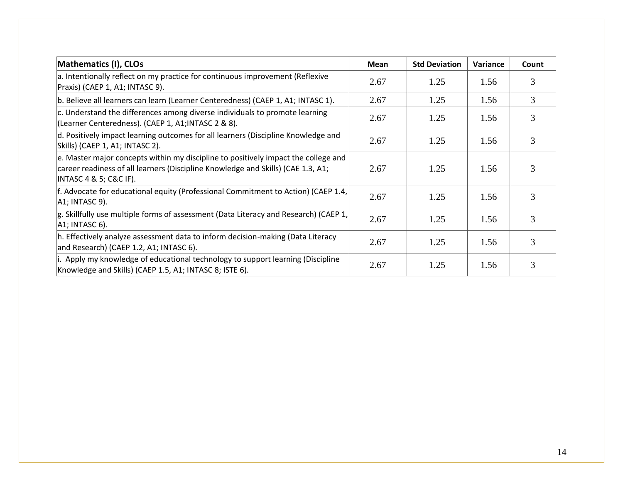| <b>Mathematics (I), CLOs</b>                                                                                                                                                                      | <b>Mean</b> | <b>Std Deviation</b> | Variance | Count          |
|---------------------------------------------------------------------------------------------------------------------------------------------------------------------------------------------------|-------------|----------------------|----------|----------------|
| a. Intentionally reflect on my practice for continuous improvement (Reflexive<br>Praxis) (CAEP 1, A1; INTASC 9).                                                                                  | 2.67        | 1.25                 | 1.56     | 3              |
| b. Believe all learners can learn (Learner Centeredness) (CAEP 1, A1; INTASC 1).                                                                                                                  | 2.67        | 1.25                 | 1.56     | $\overline{3}$ |
| c. Understand the differences among diverse individuals to promote learning<br>(Learner Centeredness). (CAEP 1, A1; INTASC 2 & 8).                                                                | 2.67        | 1.25                 | 1.56     |                |
| d. Positively impact learning outcomes for all learners (Discipline Knowledge and<br>Skills) (CAEP 1, A1; INTASC 2).                                                                              | 2.67        | 1.25                 | 1.56     | 3              |
| e. Master major concepts within my discipline to positively impact the college and<br>career readiness of all learners (Discipline Knowledge and Skills) (CAE 1.3, A1;<br> INTASC 4 & 5; C&C IF). | 2.67        | 1.25                 | 1.56     | 3              |
| f. Advocate for educational equity (Professional Commitment to Action) (CAEP 1.4,<br>$ A1$ ; INTASC 9).                                                                                           | 2.67        | 1.25                 | 1.56     | 3              |
| $ g$ . Skillfully use multiple forms of assessment (Data Literacy and Research) (CAEP 1,<br>$ A1$ ; INTASC 6).                                                                                    | 2.67        | 1.25                 | 1.56     | 3              |
| h. Effectively analyze assessment data to inform decision-making (Data Literacy<br>and Research) (CAEP 1.2, A1; INTASC 6).                                                                        | 2.67        | 1.25                 | 1.56     | 3              |
| i. Apply my knowledge of educational technology to support learning (Discipline<br>Knowledge and Skills) (CAEP 1.5, A1; INTASC 8; ISTE 6).                                                        | 2.67        | 1.25                 | 1.56     | 3              |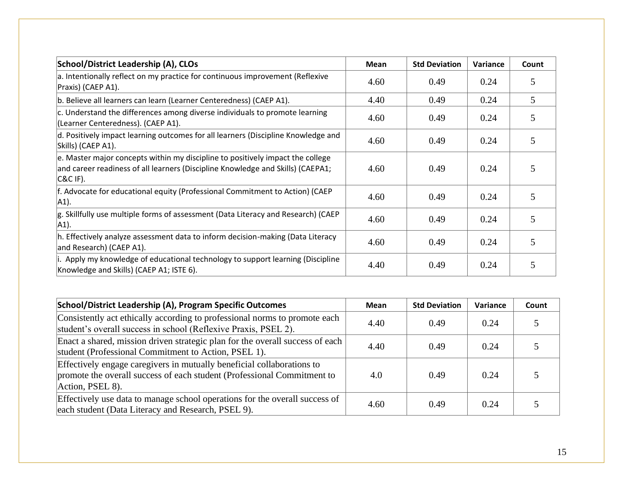| School/District Leadership (A), CLOs                                                                                                                                              | <b>Mean</b> | <b>Std Deviation</b> | Variance | Count |
|-----------------------------------------------------------------------------------------------------------------------------------------------------------------------------------|-------------|----------------------|----------|-------|
| a. Intentionally reflect on my practice for continuous improvement (Reflexive<br>Praxis) (CAEP A1).                                                                               | 4.60        | 0.49                 | 0.24     |       |
| b. Believe all learners can learn (Learner Centeredness) (CAEP A1).                                                                                                               | 4.40        | 0.49                 | 0.24     | 5     |
| c. Understand the differences among diverse individuals to promote learning<br>(Learner Centeredness). (CAEP A1).                                                                 | 4.60        | 0.49                 | 0.24     |       |
| d. Positively impact learning outcomes for all learners (Discipline Knowledge and<br>Skills) (CAEP A1).                                                                           | 4.60        | 0.49                 | 0.24     |       |
| e. Master major concepts within my discipline to positively impact the college<br>and career readiness of all learners (Discipline Knowledge and Skills) (CAEPA1;<br>$ C\&C$ IF). | 4.60        | 0.49                 | 0.24     | 5     |
| f. Advocate for educational equity (Professional Commitment to Action) (CAEP<br>A1).                                                                                              | 4.60        | 0.49                 | 0.24     | C     |
| g. Skillfully use multiple forms of assessment (Data Literacy and Research) (CAEP<br>A1).                                                                                         | 4.60        | 0.49                 | 0.24     | 5     |
| h. Effectively analyze assessment data to inform decision-making (Data Literacy<br>and Research) (CAEP A1).                                                                       | 4.60        | 0.49                 | 0.24     |       |
| i. Apply my knowledge of educational technology to support learning (Discipline<br>Knowledge and Skills) (CAEP A1; ISTE 6).                                                       | 4.40        | 0.49                 | 0.24     |       |

| School/District Leadership (A), Program Specific Outcomes                                                                                                             | Mean | <b>Std Deviation</b> | Variance | Count |
|-----------------------------------------------------------------------------------------------------------------------------------------------------------------------|------|----------------------|----------|-------|
| Consistently act ethically according to professional norms to promote each<br>student's overall success in school (Reflexive Praxis, PSEL 2).                         | 4.40 | 0.49                 | 0.24     |       |
| Enact a shared, mission driven strategic plan for the overall success of each<br>student (Professional Commitment to Action, PSEL 1).                                 | 4.40 | 0.49                 | 0.24     |       |
| Effectively engage caregivers in mutually beneficial collaborations to<br>promote the overall success of each student (Professional Commitment to<br>Action, PSEL 8). | 4.0  | 0.49                 | 0.24     |       |
| Effectively use data to manage school operations for the overall success of<br>each student (Data Literacy and Research, PSEL 9).                                     | 4.60 | 0.49                 | 0.24     |       |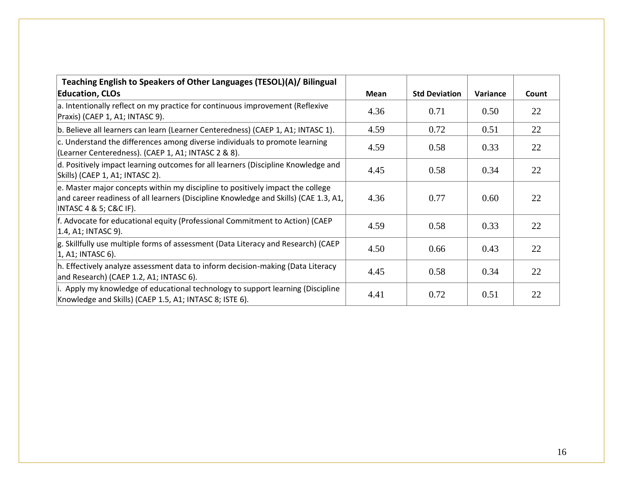| Teaching English to Speakers of Other Languages (TESOL)(A)/ Bilingual                                                                                                                             |             |                      |          |       |
|---------------------------------------------------------------------------------------------------------------------------------------------------------------------------------------------------|-------------|----------------------|----------|-------|
| <b>Education, CLOs</b>                                                                                                                                                                            | <b>Mean</b> | <b>Std Deviation</b> | Variance | Count |
| a. Intentionally reflect on my practice for continuous improvement (Reflexive<br>Praxis) (CAEP 1, A1; INTASC 9).                                                                                  | 4.36        | 0.71                 | 0.50     | 22    |
| b. Believe all learners can learn (Learner Centeredness) (CAEP 1, A1; INTASC 1).                                                                                                                  | 4.59        | 0.72                 | 0.51     | 22    |
| c. Understand the differences among diverse individuals to promote learning<br>(Learner Centeredness). (CAEP 1, A1; INTASC 2 & 8).                                                                | 4.59        | 0.58                 | 0.33     | 22    |
| d. Positively impact learning outcomes for all learners (Discipline Knowledge and<br>Skills) (CAEP 1, A1; INTASC 2).                                                                              | 4.45        | 0.58                 | 0.34     | 22    |
| e. Master major concepts within my discipline to positively impact the college<br>and career readiness of all learners (Discipline Knowledge and Skills) (CAE 1.3, A1,<br> INTASC 4 & 5; C&C IF). | 4.36        | 0.77                 | 0.60     | 22    |
| f. Advocate for educational equity (Professional Commitment to Action) (CAEP<br>$ 1.4, A1; INTASC 9$ ).                                                                                           | 4.59        | 0.58                 | 0.33     | 22    |
| $ g$ . Skillfully use multiple forms of assessment (Data Literacy and Research) (CAEP<br>1, A1; INTASC 6).                                                                                        | 4.50        | 0.66                 | 0.43     | 22    |
| h. Effectively analyze assessment data to inform decision-making (Data Literacy<br>and Research) (CAEP 1.2, A1; INTASC 6).                                                                        | 4.45        | 0.58                 | 0.34     | 22    |
| . Apply my knowledge of educational technology to support learning (Discipline<br>Knowledge and Skills) (CAEP 1.5, A1; INTASC 8; ISTE 6).                                                         | 4.41        | 0.72                 | 0.51     | 22    |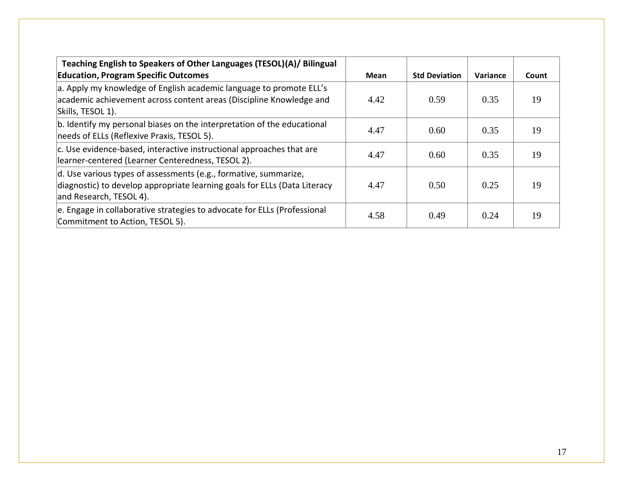| Teaching English to Speakers of Other Languages (TESOL)(A)/ Bilingual                                                                                                            |      |                      |          |       |
|----------------------------------------------------------------------------------------------------------------------------------------------------------------------------------|------|----------------------|----------|-------|
| <b>Education, Program Specific Outcomes</b>                                                                                                                                      | Mean | <b>Std Deviation</b> | Variance | Count |
| a. Apply my knowledge of English academic language to promote ELL's<br>academic achievement across content areas (Discipline Knowledge and<br>Skills, TESOL 1).                  | 4.42 | 0.59                 | 0.35     | 19    |
| b. Identify my personal biases on the interpretation of the educational<br>needs of ELLs (Reflexive Praxis, TESOL 5).                                                            | 4.47 | 0.60                 | 0.35     | 19    |
| c. Use evidence-based, interactive instructional approaches that are<br>learner-centered (Learner Centeredness, TESOL 2).                                                        | 4.47 | 0.60                 | 0.35     | 19    |
| $\vert$ d. Use various types of assessments (e.g., formative, summarize,<br>diagnostic) to develop appropriate learning goals for ELLs (Data Literacy<br>and Research, TESOL 4). | 4.47 | 0.50                 | 0.25     | 19    |
| e. Engage in collaborative strategies to advocate for ELLs (Professional<br>Commitment to Action, TESOL 5).                                                                      | 4.58 | 0.49                 | 0.24     | 19    |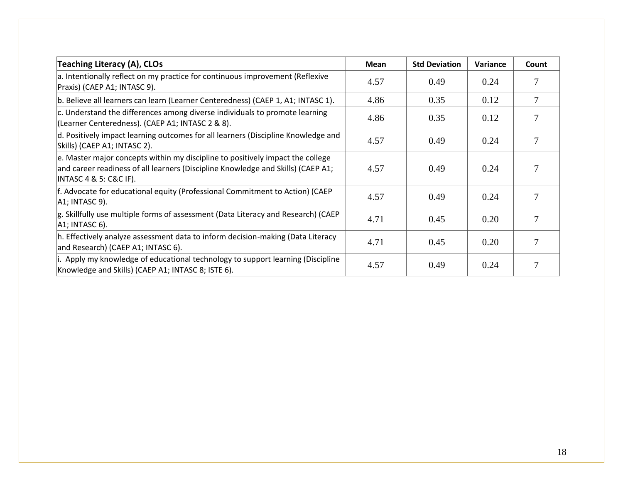| Teaching Literacy (A), CLOs                                                                                                                                                                      | <b>Mean</b> | <b>Std Deviation</b> | Variance | Count |
|--------------------------------------------------------------------------------------------------------------------------------------------------------------------------------------------------|-------------|----------------------|----------|-------|
| a. Intentionally reflect on my practice for continuous improvement (Reflexive<br>Praxis) (CAEP A1; INTASC 9).                                                                                    | 4.57        | 0.49                 | 0.24     |       |
| b. Believe all learners can learn (Learner Centeredness) (CAEP 1, A1; INTASC 1).                                                                                                                 | 4.86        | 0.35                 | 0.12     | 7     |
| c. Understand the differences among diverse individuals to promote learning<br>(Learner Centeredness). (CAEP A1; INTASC 2 & 8).                                                                  | 4.86        | 0.35                 | 0.12     |       |
| d. Positively impact learning outcomes for all learners (Discipline Knowledge and<br>Skills) (CAEP A1; INTASC 2).                                                                                | 4.57        | 0.49                 | 0.24     |       |
| e. Master major concepts within my discipline to positively impact the college<br>and career readiness of all learners (Discipline Knowledge and Skills) (CAEP A1;<br>$ INTASC 4 & 5: C&C IF$ ). | 4.57        | 0.49                 | 0.24     |       |
| f. Advocate for educational equity (Professional Commitment to Action) (CAEP<br>A1; INTASC 9).                                                                                                   | 4.57        | 0.49                 | 0.24     |       |
| g. Skillfully use multiple forms of assessment (Data Literacy and Research) (CAEP<br>$ A1$ ; INTASC 6).                                                                                          | 4.71        | 0.45                 | 0.20     |       |
| h. Effectively analyze assessment data to inform decision-making (Data Literacy<br>and Research) (CAEP A1; INTASC 6).                                                                            | 4.71        | 0.45                 | 0.20     |       |
| i. Apply my knowledge of educational technology to support learning (Discipline<br>Knowledge and Skills) (CAEP A1; INTASC 8; ISTE 6).                                                            | 4.57        | 0.49                 | 0.24     |       |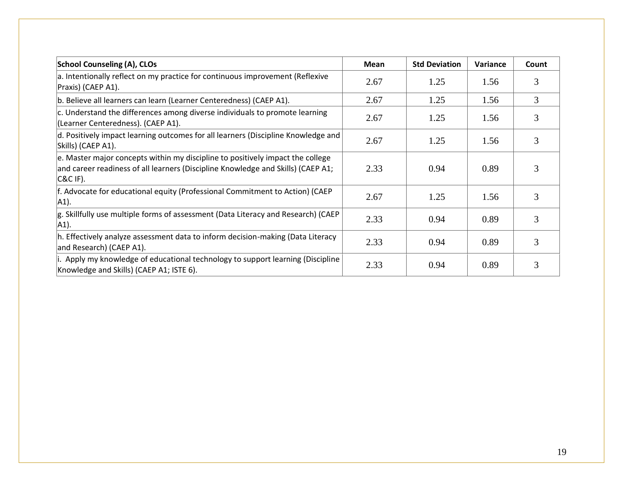| <b>School Counseling (A), CLOs</b>                                                                                                                                                 | Mean | <b>Std Deviation</b> | Variance | Count |
|------------------------------------------------------------------------------------------------------------------------------------------------------------------------------------|------|----------------------|----------|-------|
| a. Intentionally reflect on my practice for continuous improvement (Reflexive<br>Praxis) (CAEP A1).                                                                                | 2.67 | 1.25                 | 1.56     | 3     |
| b. Believe all learners can learn (Learner Centeredness) (CAEP A1).                                                                                                                | 2.67 | 1.25                 | 1.56     | 3     |
| c. Understand the differences among diverse individuals to promote learning<br>(Learner Centeredness). (CAEP A1).                                                                  | 2.67 | 1.25                 | 1.56     |       |
| $ d$ . Positively impact learning outcomes for all learners (Discipline Knowledge and<br>Skills) (CAEP A1).                                                                        | 2.67 | 1.25                 | 1.56     | 3     |
| e. Master major concepts within my discipline to positively impact the college<br>and career readiness of all learners (Discipline Knowledge and Skills) (CAEP A1;<br>$ C\&C$ IF). | 2.33 | 0.94                 | 0.89     | 3     |
| f. Advocate for educational equity (Professional Commitment to Action) (CAEP<br>A1).                                                                                               | 2.67 | 1.25                 | 1.56     | 3     |
| g. Skillfully use multiple forms of assessment (Data Literacy and Research) (CAEP<br>$ A1$ ).                                                                                      | 2.33 | 0.94                 | 0.89     | 3     |
| h. Effectively analyze assessment data to inform decision-making (Data Literacy<br>and Research) (CAEP A1).                                                                        | 2.33 | 0.94                 | 0.89     | 3     |
| i. Apply my knowledge of educational technology to support learning (Discipline)<br>Knowledge and Skills) (CAEP A1; ISTE 6).                                                       | 2.33 | 0.94                 | 0.89     |       |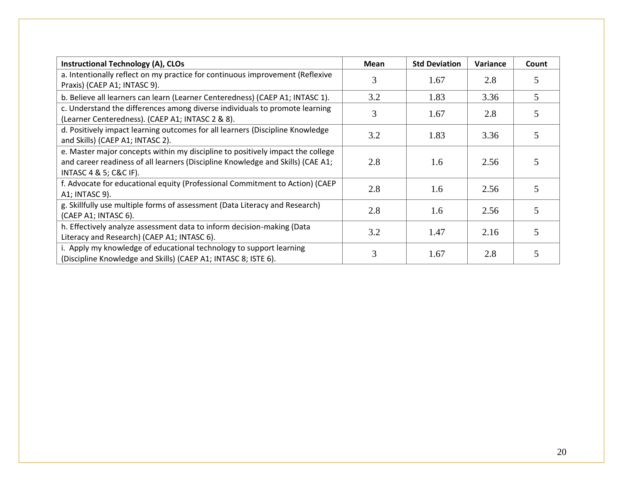| <b>Instructional Technology (A), CLOs</b>                                                                                                                                                                  | <b>Mean</b> | <b>Std Deviation</b> | Variance | Count |
|------------------------------------------------------------------------------------------------------------------------------------------------------------------------------------------------------------|-------------|----------------------|----------|-------|
| a. Intentionally reflect on my practice for continuous improvement (Reflexive<br>Praxis) (CAEP A1; INTASC 9).                                                                                              |             | 1.67                 | 2.8      |       |
| b. Believe all learners can learn (Learner Centeredness) (CAEP A1; INTASC 1).                                                                                                                              | 3.2         | 1.83                 | 3.36     | 5     |
| c. Understand the differences among diverse individuals to promote learning<br>(Learner Centeredness). (CAEP A1; INTASC 2 & 8).                                                                            | 3           | 1.67                 | 2.8      |       |
| d. Positively impact learning outcomes for all learners (Discipline Knowledge<br>and Skills) (CAEP A1; INTASC 2).                                                                                          | 3.2         | 1.83                 | 3.36     |       |
| e. Master major concepts within my discipline to positively impact the college<br>and career readiness of all learners (Discipline Knowledge and Skills) (CAE A1;<br><b>INTASC 4 &amp; 5; C&amp;C IF).</b> | 2.8         | 1.6                  | 2.56     |       |
| f. Advocate for educational equity (Professional Commitment to Action) (CAEP<br>A1; INTASC 9).                                                                                                             | 2.8         | 1.6                  | 2.56     |       |
| g. Skillfully use multiple forms of assessment (Data Literacy and Research)<br>(CAEP A1; INTASC 6).                                                                                                        | 2.8         | 1.6                  | 2.56     |       |
| h. Effectively analyze assessment data to inform decision-making (Data<br>Literacy and Research) (CAEP A1; INTASC 6).                                                                                      | 3.2         | 1.47                 | 2.16     |       |
| i. Apply my knowledge of educational technology to support learning<br>(Discipline Knowledge and Skills) (CAEP A1; INTASC 8; ISTE 6).                                                                      |             | 1.67                 | 2.8      |       |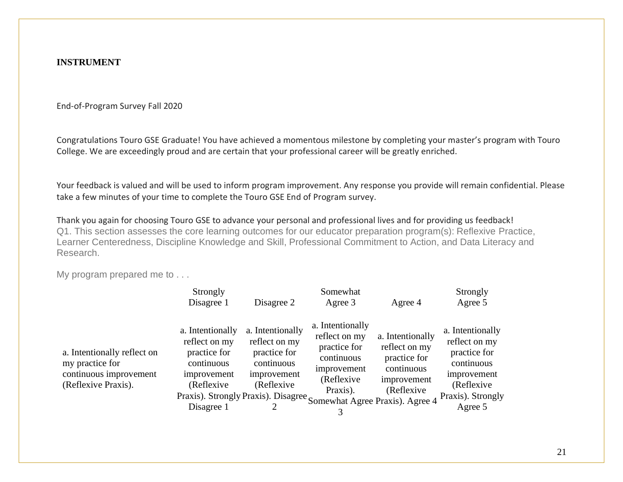#### **INSTRUMENT**

End-of-Program Survey Fall 2020

Congratulations Touro GSE Graduate! You have achieved a momentous milestone by completing your master's program with Touro College. We are exceedingly proud and are certain that your professional career will be greatly enriched.

Your feedback is valued and will be used to inform program improvement. Any response you provide will remain confidential. Please take a few minutes of your time to complete the Touro GSE End of Program survey.

Thank you again for choosing Touro GSE to advance your personal and professional lives and for providing us feedback! Q1. This section assesses the core learning outcomes for our educator preparation program(s): Reflexive Practice, Learner Centeredness, Discipline Knowledge and Skill, Professional Commitment to Action, and Data Literacy and Research.

My program prepared me to . . .

|                                                                                                 | Strongly                                                                                                                                                                           |                                                                                              | Somewhat                                                                                                 |                                                                                               | Strongly                                                                                                                      |
|-------------------------------------------------------------------------------------------------|------------------------------------------------------------------------------------------------------------------------------------------------------------------------------------|----------------------------------------------------------------------------------------------|----------------------------------------------------------------------------------------------------------|-----------------------------------------------------------------------------------------------|-------------------------------------------------------------------------------------------------------------------------------|
|                                                                                                 | Disagree 1                                                                                                                                                                         | Disagree 2                                                                                   | Agree 3                                                                                                  | Agree 4                                                                                       | Agree 5                                                                                                                       |
| a. Intentionally reflect on<br>my practice for<br>continuous improvement<br>(Reflexive Praxis). | a. Intentionally<br>reflect on my<br>practice for<br>continuous<br>improvement<br>(Reflexive)<br>Praxis). Strongly Praxis). Disagree Somewhat Agree Praxis). Agree 4<br>Disagree 1 | a. Intentionally<br>reflect on my<br>practice for<br>continuous<br>improvement<br>(Reflexive | a. Intentionally<br>reflect on my<br>practice for<br>continuous<br>improvement<br>(Reflexive<br>Praxis). | a. Intentionally<br>reflect on my<br>practice for<br>continuous<br>improvement<br>(Reflexive) | a. Intentionally<br>reflect on my<br>practice for<br>continuous<br>improvement<br>(Reflexive)<br>Praxis). Strongly<br>Agree 5 |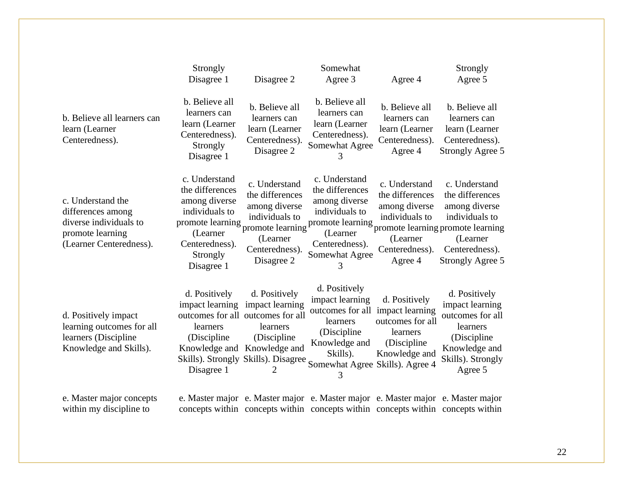|                                                                                                                 | Strongly<br>Disagree 1                                                                                                      | Disagree 2                                                                                                                                                                                   | Somewhat<br>Agree 3                                                                                                                              | Agree 4                                                                                                      | Strongly<br>Agree 5                                                                                                                                                                                                                                                                                                                                            |
|-----------------------------------------------------------------------------------------------------------------|-----------------------------------------------------------------------------------------------------------------------------|----------------------------------------------------------------------------------------------------------------------------------------------------------------------------------------------|--------------------------------------------------------------------------------------------------------------------------------------------------|--------------------------------------------------------------------------------------------------------------|----------------------------------------------------------------------------------------------------------------------------------------------------------------------------------------------------------------------------------------------------------------------------------------------------------------------------------------------------------------|
| b. Believe all learners can<br>learn (Learner<br>Centeredness).                                                 | b. Believe all<br>learners can<br>learn (Learner<br>Centeredness).<br>Strongly<br>Disagree 1                                | b. Believe all<br>learners can<br>learn (Learner<br>Centeredness).<br>Disagree 2                                                                                                             | b. Believe all<br>learners can<br>learn (Learner<br>Centeredness).<br>Somewhat Agree<br>3                                                        | b. Believe all<br>learners can<br>learn (Learner<br>Centeredness).<br>Agree 4                                | b. Believe all<br>learners can<br>learn (Learner<br>Centeredness).<br>Strongly Agree 5                                                                                                                                                                                                                                                                         |
| c. Understand the<br>differences among<br>diverse individuals to<br>promote learning<br>(Learner Centeredness). | c. Understand<br>the differences<br>among diverse<br>individuals to<br>(Learner<br>Centeredness).<br>Strongly<br>Disagree 1 | c. Understand<br>the differences<br>among diverse<br>individuals to<br>(Learner<br>Centeredness).<br>Disagree 2                                                                              | c. Understand<br>the differences<br>among diverse<br>individuals to<br>(Learner<br>Centeredness).<br>Somewhat Agree<br>3                         | c. Understand<br>the differences<br>among diverse<br>individuals to<br>(Learner<br>Centeredness).<br>Agree 4 | c. Understand<br>the differences<br>among diverse<br>individuals to<br>promote learning promote learning promote learning promote learning and the company of company of company of the company of the company of the company of the company of the company of the company of the company of the comp<br>(Learner<br>Centeredness).<br><b>Strongly Agree 5</b> |
| d. Positively impact<br>learning outcomes for all<br>learners (Discipline<br>Knowledge and Skills).             | d. Positively<br>learners<br>(Discipline)<br>Disagree 1                                                                     | d. Positively<br>impact learning impact learning<br>outcomes for all outcomes for all<br>learners<br>(Discipline)<br>Knowledge and Knowledge and<br>Skills). Strongly Skills). Disagree<br>2 | d. Positively<br>impact learning<br>outcomes for all<br>learners<br>(Discipline)<br>Knowledge and<br>Skills).<br>Somewhat Agree Skills). Agree 4 | d. Positively<br>impact learning<br>outcomes for all<br>learners<br>(Discipline<br>Knowledge and             | d. Positively<br>impact learning<br>outcomes for all<br>learners<br>(Discipline<br>Knowledge and<br>Skills). Strongly<br>Agree 5                                                                                                                                                                                                                               |
| e. Master major concepts                                                                                        |                                                                                                                             |                                                                                                                                                                                              | e. Master major e. Master major e. Master major e. Master major e. Master major                                                                  |                                                                                                              |                                                                                                                                                                                                                                                                                                                                                                |

within my discipline to

concepts within concepts within concepts within concepts within concepts within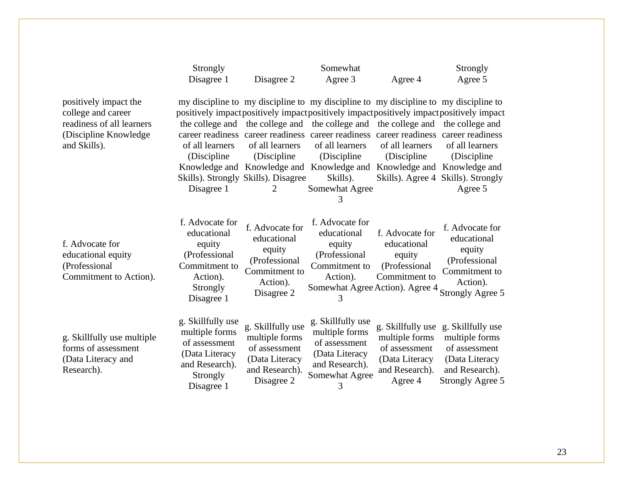|                                                                                                                    | Strongly                                                                                                           |                                                                                                               | Somewhat                                                                                                                                                                                                                                                                                                                                       |                                                                                                     | Strongly                                                                                                                                                                                    |
|--------------------------------------------------------------------------------------------------------------------|--------------------------------------------------------------------------------------------------------------------|---------------------------------------------------------------------------------------------------------------|------------------------------------------------------------------------------------------------------------------------------------------------------------------------------------------------------------------------------------------------------------------------------------------------------------------------------------------------|-----------------------------------------------------------------------------------------------------|---------------------------------------------------------------------------------------------------------------------------------------------------------------------------------------------|
|                                                                                                                    | Disagree 1                                                                                                         | Disagree 2                                                                                                    | Agree 3                                                                                                                                                                                                                                                                                                                                        | Agree 4                                                                                             | Agree 5                                                                                                                                                                                     |
| positively impact the<br>college and career<br>readiness of all learners<br>(Discipline Knowledge)<br>and Skills). | of all learners<br>(Discipline)<br>Disagree 1                                                                      | the college and the college and<br>of all learners<br>(Discipline<br>Skills). Strongly Skills). Disagree<br>2 | my discipline to my discipline to my discipline to my discipline to my discipline to<br>the college and<br>career readiness career readiness career readiness career readiness career readiness<br>of all learners<br>(Discipline)<br>Knowledge and Knowledge and Knowledge and Knowledge and Knowledge and<br>Skills).<br>Somewhat Agree<br>3 | the college and<br>of all learners<br>(Discipline                                                   | positively impactpositively impactpositively impactpositively impactpositively impact<br>the college and<br>of all learners<br>(Discipline<br>Skills). Agree 4 Skills). Strongly<br>Agree 5 |
| f. Advocate for<br>educational equity<br>(Professional<br>Commitment to Action).                                   | f. Advocate for<br>educational<br>equity<br>(Professional<br>Commitment to<br>Action).<br>Strongly<br>Disagree 1   | f. Advocate for<br>educational<br>equity<br>(Professional<br>Commitment to<br>Action).<br>Disagree 2          | f. Advocate for<br>educational<br>equity<br>(Professional<br>Commitment to<br>Action).<br>Somewhat Agree Action). Agree 4<br>3                                                                                                                                                                                                                 | f. Advocate for<br>educational<br>equity<br>(Professional<br>Commitment to                          | f. Advocate for<br>educational<br>equity<br>(Professional<br>Commitment to<br>Action).<br><b>Strongly Agree 5</b>                                                                           |
| g. Skillfully use multiple<br>forms of assessment<br>(Data Literacy and<br>Research).                              | g. Skillfully use<br>multiple forms<br>of assessment<br>(Data Literacy<br>and Research).<br>Strongly<br>Disagree 1 | g. Skillfully use<br>multiple forms<br>of assessment<br>(Data Literacy<br>and Research).<br>Disagree 2        | g. Skillfully use<br>multiple forms<br>of assessment<br>(Data Literacy<br>and Research).<br>Somewhat Agree<br>3                                                                                                                                                                                                                                | g. Skillfully use<br>multiple forms<br>of assessment<br>(Data Literacy<br>and Research).<br>Agree 4 | g. Skillfully use<br>multiple forms<br>of assessment<br>(Data Literacy<br>and Research).<br><b>Strongly Agree 5</b>                                                                         |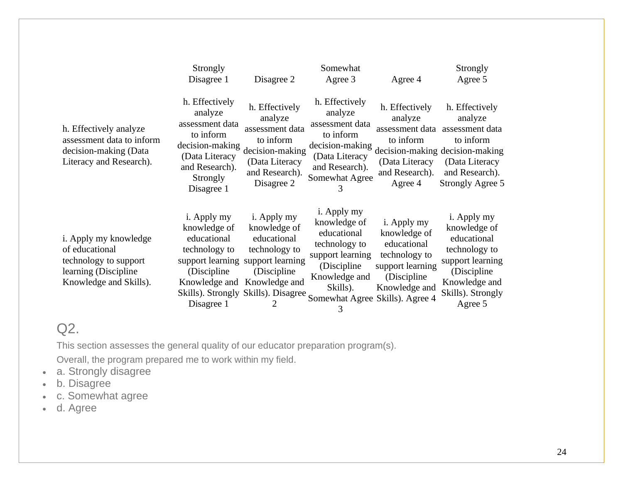|                                                                                                                    | Strongly                                                                                                                                            |                                                                                                                                            | Somewhat                                                                                                                                                             |                                                                                                                  | Strongly                                                                                                                                             |
|--------------------------------------------------------------------------------------------------------------------|-----------------------------------------------------------------------------------------------------------------------------------------------------|--------------------------------------------------------------------------------------------------------------------------------------------|----------------------------------------------------------------------------------------------------------------------------------------------------------------------|------------------------------------------------------------------------------------------------------------------|------------------------------------------------------------------------------------------------------------------------------------------------------|
|                                                                                                                    | Disagree 1                                                                                                                                          | Disagree 2                                                                                                                                 | Agree 3                                                                                                                                                              | Agree 4                                                                                                          | Agree 5                                                                                                                                              |
| h. Effectively analyze<br>assessment data to inform<br>decision-making (Data<br>Literacy and Research).            | h. Effectively<br>analyze<br>assessment data<br>to inform<br>decision-making<br>(Data Literacy<br>and Research).<br>Strongly<br>Disagree 1          | h. Effectively<br>analyze<br>assessment data<br>to inform<br>decision-making<br>(Data Literacy<br>and Research).<br>Disagree 2             | h. Effectively<br>analyze<br>assessment data<br>to inform<br>decision-making<br>(Data Literacy<br>and Research).<br>Somewhat Agree<br>3                              | h. Effectively<br>analyze<br>assessment data<br>to inform<br>(Data Literacy<br>and Research).<br>Agree 4         | h. Effectively<br>analyze<br>assessment data<br>to inform<br>decision-making decision-making<br>(Data Literacy<br>and Research).<br>Strongly Agree 5 |
| i. Apply my knowledge<br>of educational<br>technology to support<br>learning (Discipline<br>Knowledge and Skills). | i. Apply my<br>knowledge of<br>educational<br>technology to<br>support learning<br>(Discipline)<br>Knowledge and<br>Skills). Strongly<br>Disagree 1 | i. Apply my<br>knowledge of<br>educational<br>technology to<br>support learning<br>(Discipline)<br>Knowledge and<br>Skills). Disagree<br>2 | i. Apply my<br>knowledge of<br>educational<br>technology to<br>support learning<br>(Discipline)<br>Knowledge and<br>Skills).<br>Somewhat Agree Skills). Agree 4<br>3 | i. Apply my<br>knowledge of<br>educational<br>technology to<br>support learning<br>(Discipline)<br>Knowledge and | i. Apply my<br>knowledge of<br>educational<br>technology to<br>support learning<br>(Discipline<br>Knowledge and<br>Skills). Strongly<br>Agree 5      |

# Q2.

This section assesses the general quality of our educator preparation program(s).

Overall, the program prepared me to work within my field.

- a. Strongly disagree
- b. Disagree
- c. Somewhat agree
- d. Agree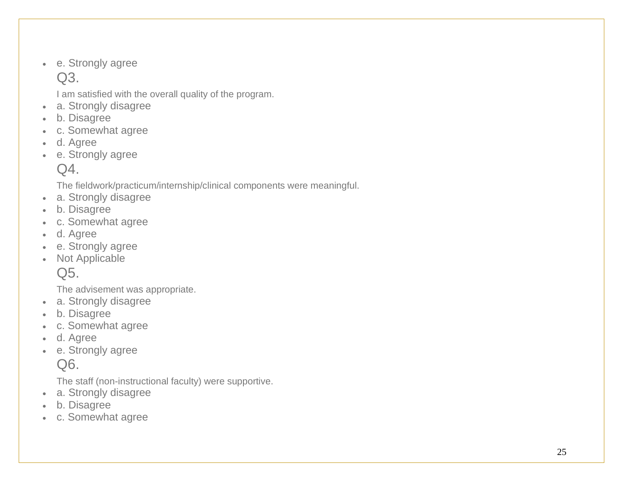• e. Strongly agree  $Q3$ .

I am satisfied with the overall quality of the program.

- a. Strongly disagree
- b. Disagree
- c. Somewhat agree
- d. Agree
- e. Strongly agree

 $Q4$ .

The fieldwork/practicum/internship/clinical components were meaningful.

- a. Strongly disagree
- b. Disagree
- c. Somewhat agree
- d. Agree
- e. Strongly agree
- Not Applicable

Q5.

The advisement was appropriate.

- a. Strongly disagree
- b. Disagree
- c. Somewhat agree
- d. Agree
- e. Strongly agree

Q6.

The staff (non -instructional faculty) were supportive.

- a. Strongly disagree
- b. Disagree
- c. Somewhat agree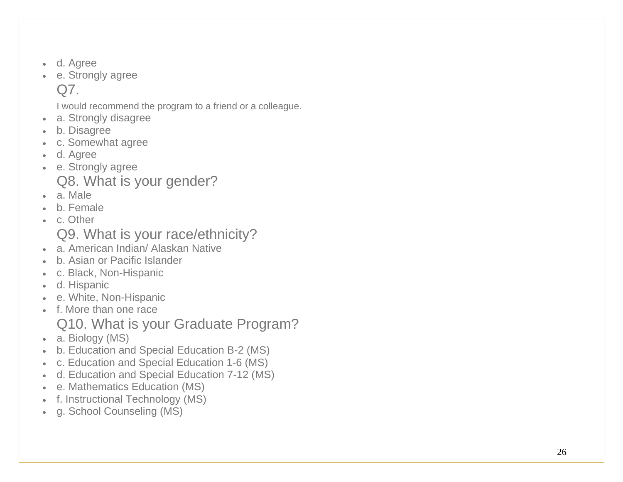- d. Agree
- e. Strongly agree Q7.

I would recommend the program to a friend or a colleague.

- a. Strongly disagree
- b. Disagree
- c. Somewhat agree
- d. Agree
- e. Strongly agree Q8. What is your gender?
- a. Male
- b. Female
- c. Other

Q9. What is your race/ethnicity?

- a. American Indian/ Alaskan Native
- b. Asian or Pacific Islander
- c. Black, Non-Hispanic
- d. Hispanic
- e. White, Non-Hispanic
- f. More than one race
	- Q10. What is your Graduate Program?
- a. Biology (MS)
- b. Education and Special Education B -2 (MS)
- c. Education and Special Education 1 -6 (MS)
- d. Education and Special Education 7 -12 (MS)
- e. Mathematics Education (MS)
- f. Instructional Technology (MS)
- g. School Counseling (MS)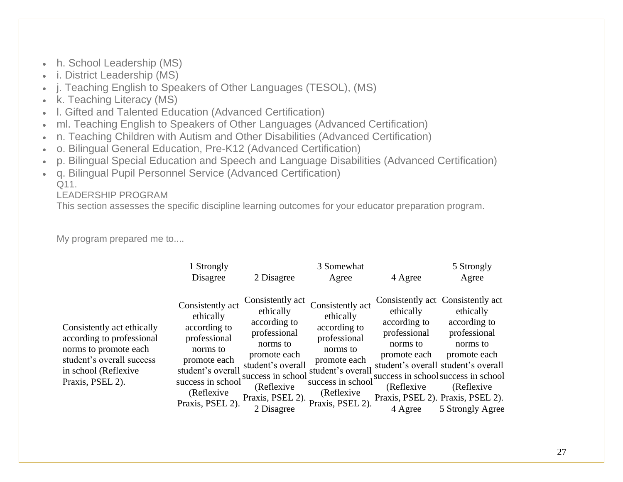- h. School Leadership (MS)
- i. District Leadership (MS)
- j. Teaching English to Speakers of Other Languages (TESOL), (MS)
- k. Teaching Literacy (MS)
- l. Gifted and Talented Education (Advanced Certification)
- ml. Teaching English to Speakers of Other Languages (Advanced Certification)
- n. Teaching Children with Autism and Other Disabilities (Advanced Certification)
- o. Bilingual General Education, Pre-K12 (Advanced Certification)
- p. Bilingual Special Education and Speech and Language Disabilities (Advanced Certification)
- q. Bilingual Pupil Personnel Service (Advanced Certification)  $O<sub>11</sub>$

LEADERSHIP PROGRAM

This section assesses the specific discipline learning outcomes for your educator preparation program.

My program prepared me to....

|                                                                                                                                                           | 1 Strongly<br>Disagree                                                                                                                                                 | 2 Disagree                                                                                                                                                                           | 3 Somewhat<br>Agree                                                                                                                                                    | 4 Agree                                                                                         | 5 Strongly<br>Agree                                                                                                                                                                                                                                              |
|-----------------------------------------------------------------------------------------------------------------------------------------------------------|------------------------------------------------------------------------------------------------------------------------------------------------------------------------|--------------------------------------------------------------------------------------------------------------------------------------------------------------------------------------|------------------------------------------------------------------------------------------------------------------------------------------------------------------------|-------------------------------------------------------------------------------------------------|------------------------------------------------------------------------------------------------------------------------------------------------------------------------------------------------------------------------------------------------------------------|
| Consistently act ethically<br>according to professional<br>norms to promote each<br>student's overall success<br>in school (Reflexive<br>Praxis, PSEL 2). | Consistently act<br>ethically<br>according to<br>professional<br>norms to<br>promote each<br>student's overall<br>success in school<br>(Reflexive)<br>Praxis, PSEL 2). | Consistently act<br>ethically<br>according to<br>professional<br>norms to<br>promote each<br>student's overall<br>success in school<br>(Reflexive)<br>Praxis, PSEL 2).<br>2 Disagree | Consistently act<br>ethically<br>according to<br>professional<br>norms to<br>promote each<br>student's overall<br>success in school<br>(Reflexive)<br>Praxis, PSEL 2). | ethically<br>according to<br>professional<br>norms to<br>promote each<br>(Reflexive)<br>4 Agree | Consistently act Consistently act<br>ethically<br>according to<br>professional<br>norms to<br>promote each<br>student's overall student's overall<br>success in school success in school<br>(Reflexive)<br>Praxis, PSEL 2). Praxis, PSEL 2).<br>5 Strongly Agree |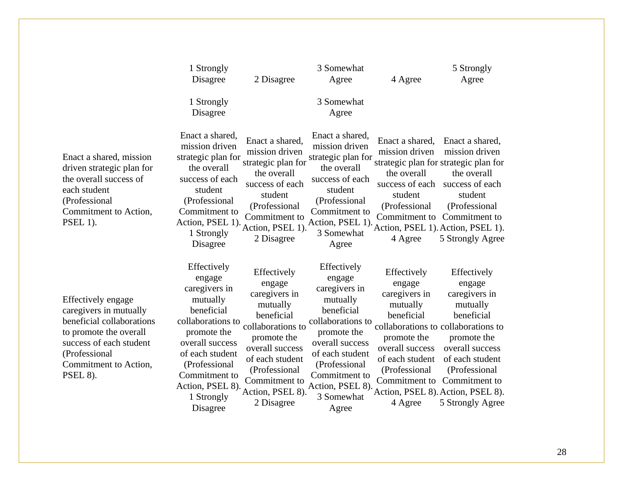|                                                                                                                                                                                                    | 1 Strongly                                                                                                                                                                                                                 |                                                                                                                                                                                                                | 3 Somewhat                                                                                                                                                                                                              |                                                                                                                                                                    | 5 Strongly                                                                                                                                                                                                                                              |
|----------------------------------------------------------------------------------------------------------------------------------------------------------------------------------------------------|----------------------------------------------------------------------------------------------------------------------------------------------------------------------------------------------------------------------------|----------------------------------------------------------------------------------------------------------------------------------------------------------------------------------------------------------------|-------------------------------------------------------------------------------------------------------------------------------------------------------------------------------------------------------------------------|--------------------------------------------------------------------------------------------------------------------------------------------------------------------|---------------------------------------------------------------------------------------------------------------------------------------------------------------------------------------------------------------------------------------------------------|
|                                                                                                                                                                                                    | Disagree                                                                                                                                                                                                                   | 2 Disagree                                                                                                                                                                                                     | Agree                                                                                                                                                                                                                   | 4 Agree                                                                                                                                                            | Agree                                                                                                                                                                                                                                                   |
|                                                                                                                                                                                                    | 1 Strongly<br>Disagree                                                                                                                                                                                                     |                                                                                                                                                                                                                | 3 Somewhat<br>Agree                                                                                                                                                                                                     |                                                                                                                                                                    |                                                                                                                                                                                                                                                         |
| Enact a shared, mission<br>driven strategic plan for<br>the overall success of<br>each student<br>(Professional<br>Commitment to Action,<br><b>PSEL 1).</b>                                        | Enact a shared,<br>mission driven<br>strategic plan for<br>the overall<br>success of each<br>student<br>(Professional<br>Commitment to<br>Action, PSEL 1).<br>1 Strongly<br>Disagree                                       | Enact a shared,<br>mission driven<br>strategic plan for<br>the overall<br>success of each<br>student<br>(Professional<br>Commitment to<br>Action, PSEL 1).<br>2 Disagree                                       | Enact a shared,<br>mission driven<br>strategic plan for<br>the overall<br>success of each<br>student<br>(Professional<br>Commitment to<br>Action, PSEL 1).<br>3 Somewhat<br>Agree                                       | Enact a shared,<br>mission driven<br>the overall<br>success of each<br>student<br>(Professional<br>Commitment to<br>4 Agree                                        | Enact a shared,<br>mission driven<br>strategic plan for strategic plan for<br>the overall<br>success of each<br>student<br>(Professional<br>Commitment to<br>Action, PSEL 1). Action, PSEL 1).<br>5 Strongly Agree                                      |
| <b>Effectively engage</b><br>caregivers in mutually<br>beneficial collaborations<br>to promote the overall<br>success of each student<br>(Professional<br>Commitment to Action,<br><b>PSEL 8).</b> | Effectively<br>engage<br>caregivers in<br>mutually<br>beneficial<br>collaborations to<br>promote the<br>overall success<br>of each student<br>(Professional<br>Commitment to<br>Action, PSEL 8).<br>1 Strongly<br>Disagree | Effectively<br>engage<br>caregivers in<br>mutually<br>beneficial<br>collaborations to<br>promote the<br>overall success<br>of each student<br>(Professional<br>Commitment to<br>Action, PSEL 8).<br>2 Disagree | Effectively<br>engage<br>caregivers in<br>mutually<br>beneficial<br>collaborations to<br>promote the<br>overall success<br>of each student<br>(Professional<br>Commitment to<br>Action, PSEL 8).<br>3 Somewhat<br>Agree | Effectively<br>engage<br>caregivers in<br>mutually<br>beneficial<br>promote the<br>overall success<br>of each student<br>(Professional<br>Commitment to<br>4 Agree | Effectively<br>engage<br>caregivers in<br>mutually<br>beneficial<br>collaborations to collaborations to<br>promote the<br>overall success<br>of each student<br>(Professional<br>Commitment to<br>Action, PSEL 8). Action, PSEL 8).<br>5 Strongly Agree |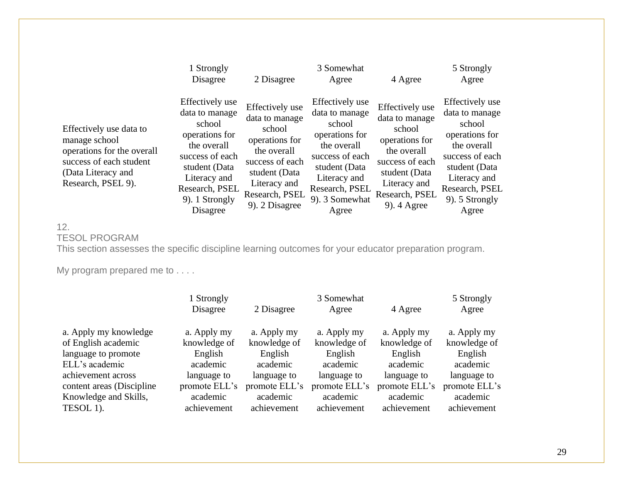|                                                                                                                                               | 1 Strongly<br>Disagree                                                                                                                                                           | 2 Disagree                                                                                                                                                           | 3 Somewhat<br>Agree                                                                                                                                                           | 4 Agree                                                                                                                                                           | 5 Strongly<br>Agree                                                                                                                                                           |
|-----------------------------------------------------------------------------------------------------------------------------------------------|----------------------------------------------------------------------------------------------------------------------------------------------------------------------------------|----------------------------------------------------------------------------------------------------------------------------------------------------------------------|-------------------------------------------------------------------------------------------------------------------------------------------------------------------------------|-------------------------------------------------------------------------------------------------------------------------------------------------------------------|-------------------------------------------------------------------------------------------------------------------------------------------------------------------------------|
| Effectively use data to<br>manage school<br>operations for the overall<br>success of each student<br>(Data Literacy and<br>Research, PSEL 9). | Effectively use<br>data to manage<br>school<br>operations for<br>the overall<br>success of each<br>student (Data<br>Literacy and<br>Research, PSEL<br>9). 1 Strongly<br>Disagree | Effectively use<br>data to manage<br>school<br>operations for<br>the overall<br>success of each<br>student (Data<br>Literacy and<br>Research, PSEL<br>9). 2 Disagree | Effectively use<br>data to manage<br>school<br>operations for<br>the overall<br>success of each<br>student (Data<br>Literacy and<br>Research, PSEL<br>9). 3 Somewhat<br>Agree | Effectively use<br>data to manage<br>school<br>operations for<br>the overall<br>success of each<br>student (Data<br>Literacy and<br>Research, PSEL<br>9). 4 Agree | Effectively use<br>data to manage<br>school<br>operations for<br>the overall<br>success of each<br>student (Data<br>Literacy and<br>Research, PSEL<br>9). 5 Strongly<br>Agree |

## 12. TESOL PROGRAM

This section assesses the specific discipline learning outcomes for your educator preparation program.

My program prepared me to . . . .

|                           | 1 Strongly    |               | 5 Strongly    |               |               |
|---------------------------|---------------|---------------|---------------|---------------|---------------|
|                           | Disagree      | 2 Disagree    | Agree         | 4 Agree       | Agree         |
| a. Apply my knowledge     | a. Apply my   | a. Apply my   | a. Apply my   | a. Apply my   | a. Apply my   |
| of English academic       | knowledge of  | knowledge of  | knowledge of  | knowledge of  | knowledge of  |
| language to promote       | English       | English       | English       | English       | English       |
| ELL's academic            | academic      | academic      | academic      | academic      | academic      |
| achievement across        | language to   | language to   | language to   | language to   | language to   |
| content areas (Discipline | promote ELL's | promote ELL's | promote ELL's | promote ELL's | promote ELL's |
| Knowledge and Skills,     | academic      | academic      | academic      | academic      | academic      |
| TESOL 1).                 | achievement   | achievement   | achievement   | achievement   | achievement   |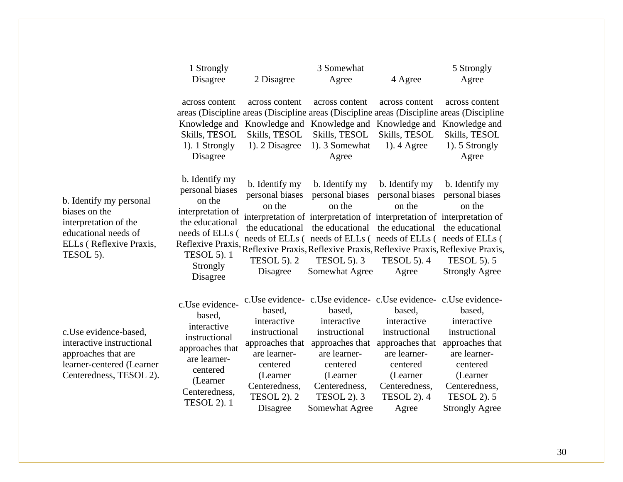|                                                                                                                                   | 1 Strongly<br>Disagree                                                                                                                                      | 2 Disagree                                                                                                                                           | 3 Somewhat<br>Agree                                                                                                                                                                                                                                                                                                                            | 4 Agree                                                                                                                                            | 5 Strongly<br>Agree                                                                                                                                               |
|-----------------------------------------------------------------------------------------------------------------------------------|-------------------------------------------------------------------------------------------------------------------------------------------------------------|------------------------------------------------------------------------------------------------------------------------------------------------------|------------------------------------------------------------------------------------------------------------------------------------------------------------------------------------------------------------------------------------------------------------------------------------------------------------------------------------------------|----------------------------------------------------------------------------------------------------------------------------------------------------|-------------------------------------------------------------------------------------------------------------------------------------------------------------------|
|                                                                                                                                   | across content<br>Knowledge and<br>Skills, TESOL<br>1). 1 Strongly<br>Disagree                                                                              | across content<br>Knowledge and<br>Skills, TESOL<br>1). 2 Disagree                                                                                   | across content<br>areas (Discipline areas (Discipline areas (Discipline areas (Discipline areas (Discipline<br>Knowledge and Knowledge and<br>Skills, TESOL<br>1). 3 Somewhat<br>Agree                                                                                                                                                         | across content<br>Skills, TESOL<br>$1$ ). 4 Agree                                                                                                  | across content<br>Knowledge and<br>Skills, TESOL<br>1). 5 Strongly<br>Agree                                                                                       |
| b. Identify my personal<br>biases on the<br>interpretation of the<br>educational needs of<br>ELLs (Reflexive Praxis,<br>TESOL 5). | b. Identify my<br>personal biases<br>on the<br>interpretation of<br>the educational<br>needs of ELLs (<br><b>TESOL 5). 1</b><br>Strongly<br>Disagree        | b. Identify my<br>personal biases<br>on the<br>the educational<br><b>TESOL 5). 2</b><br>Disagree                                                     | b. Identify my<br>personal biases<br>on the<br>interpretation of interpretation of interpretation of interpretation of<br>the educational<br>needs of ELLs (needs of ELLs (needs of ELLs (needs of ELLs (<br>Reflexive Praxis, Reflexive Praxis, Reflexive Praxis, Reflexive Praxis, Reflexive Praxis,<br><b>TESOL 5). 3</b><br>Somewhat Agree | b. Identify my<br>personal biases<br>on the<br>the educational<br><b>TESOL 5). 4</b><br>Agree                                                      | b. Identify my<br>personal biases<br>on the<br>the educational<br><b>TESOL 5). 5</b><br><b>Strongly Agree</b>                                                     |
| c.Use evidence-based,<br>interactive instructional<br>approaches that are<br>learner-centered (Learner<br>Centeredness, TESOL 2). | c.Use evidence-<br>based,<br>interactive<br>instructional<br>approaches that<br>are learner-<br>centered<br>(Learner<br>Centeredness,<br><b>TESOL 2).</b> 1 | based,<br>interactive<br>instructional<br>approaches that<br>are learner-<br>centered<br>(Learner<br>Centeredness,<br><b>TESOL 2). 2</b><br>Disagree | c.Use evidence-c.Use evidence-c.Use evidence-c.Use evidence-<br>based,<br>interactive<br>instructional<br>approaches that<br>are learner-<br>centered<br>(Learner<br>Centeredness,<br><b>TESOL 2). 3</b><br>Somewhat Agree                                                                                                                     | based,<br>interactive<br>instructional<br>approaches that<br>are learner-<br>centered<br>(Learner)<br>Centeredness,<br><b>TESOL 2). 4</b><br>Agree | based,<br>interactive<br>instructional<br>approaches that<br>are learner-<br>centered<br>(Learner<br>Centeredness,<br><b>TESOL 2). 5</b><br><b>Strongly Agree</b> |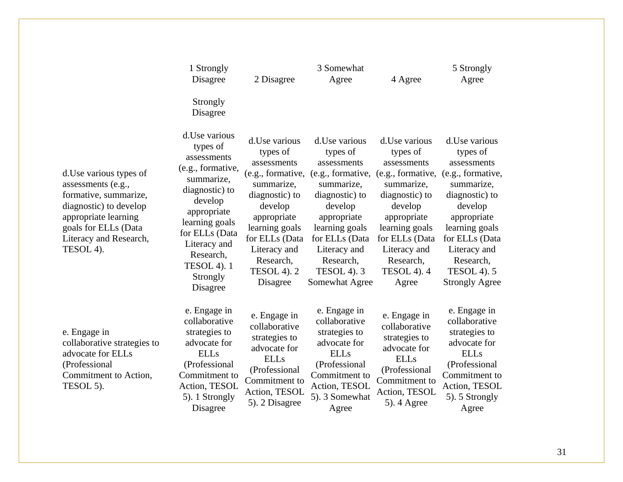|                                                                                                                                                                                         | 1 Strongly<br>Disagree                                                                                                                                                                                                                  | 2 Disagree                                                                                                                                                                                                                  | 3 Somewhat<br>Agree                                                                                                                                                                                                               | 4 Agree                                                                                                                                                                                                                  | 5 Strongly<br>Agree                                                                                                                                                                                                                      |
|-----------------------------------------------------------------------------------------------------------------------------------------------------------------------------------------|-----------------------------------------------------------------------------------------------------------------------------------------------------------------------------------------------------------------------------------------|-----------------------------------------------------------------------------------------------------------------------------------------------------------------------------------------------------------------------------|-----------------------------------------------------------------------------------------------------------------------------------------------------------------------------------------------------------------------------------|--------------------------------------------------------------------------------------------------------------------------------------------------------------------------------------------------------------------------|------------------------------------------------------------------------------------------------------------------------------------------------------------------------------------------------------------------------------------------|
|                                                                                                                                                                                         | Strongly<br>Disagree                                                                                                                                                                                                                    |                                                                                                                                                                                                                             |                                                                                                                                                                                                                                   |                                                                                                                                                                                                                          |                                                                                                                                                                                                                                          |
| d. Use various types of<br>assessments (e.g.,<br>formative, summarize,<br>diagnostic) to develop<br>appropriate learning<br>goals for ELLs (Data<br>Literacy and Research,<br>TESOL 4). | d. Use various<br>types of<br>assessments<br>(e.g., formative,<br>summarize,<br>diagnostic) to<br>develop<br>appropriate<br>learning goals<br>for ELLs (Data<br>Literacy and<br>Research,<br><b>TESOL 4).</b> 1<br>Strongly<br>Disagree | d. Use various<br>types of<br>assessments<br>(e.g., formative,<br>summarize,<br>diagnostic) to<br>develop<br>appropriate<br>learning goals<br>for ELLs (Data<br>Literacy and<br>Research,<br><b>TESOL 4). 2</b><br>Disagree | d. Use various<br>types of<br>assessments<br>(e.g., formative,<br>summarize,<br>diagnostic) to<br>develop<br>appropriate<br>learning goals<br>for ELLs (Data<br>Literacy and<br>Research,<br><b>TESOL 4). 3</b><br>Somewhat Agree | d. Use various<br>types of<br>assessments<br>(e.g., formative,<br>summarize,<br>diagnostic) to<br>develop<br>appropriate<br>learning goals<br>for ELLs (Data<br>Literacy and<br>Research,<br><b>TESOL 4). 4</b><br>Agree | d. Use various<br>types of<br>assessments<br>(e.g., formative,<br>summarize,<br>diagnostic) to<br>develop<br>appropriate<br>learning goals<br>for ELLs (Data<br>Literacy and<br>Research,<br><b>TESOL 4). 5</b><br><b>Strongly Agree</b> |
| e. Engage in<br>collaborative strategies to<br>advocate for ELLs<br>(Professional<br>Commitment to Action,<br>TESOL 5).                                                                 | e. Engage in<br>collaborative<br>strategies to<br>advocate for<br><b>ELLs</b><br>(Professional<br>Commitment to<br>Action, TESOL<br>5). 1 Strongly<br>Disagree                                                                          | e. Engage in<br>collaborative<br>strategies to<br>advocate for<br><b>ELLs</b><br>(Professional<br>Commitment to<br>Action, TESOL<br>5). 2 Disagree                                                                          | e. Engage in<br>collaborative<br>strategies to<br>advocate for<br><b>ELLs</b><br>(Professional<br>Commitment to<br>Action, TESOL<br>5). 3 Somewhat<br>Agree                                                                       | e. Engage in<br>collaborative<br>strategies to<br>advocate for<br><b>ELLs</b><br>(Professional<br>Commitment to<br>Action, TESOL<br>5). 4 Agree                                                                          | e. Engage in<br>collaborative<br>strategies to<br>advocate for<br><b>ELLs</b><br>(Professional<br>Commitment to<br>Action, TESOL<br>5). 5 Strongly<br>Agree                                                                              |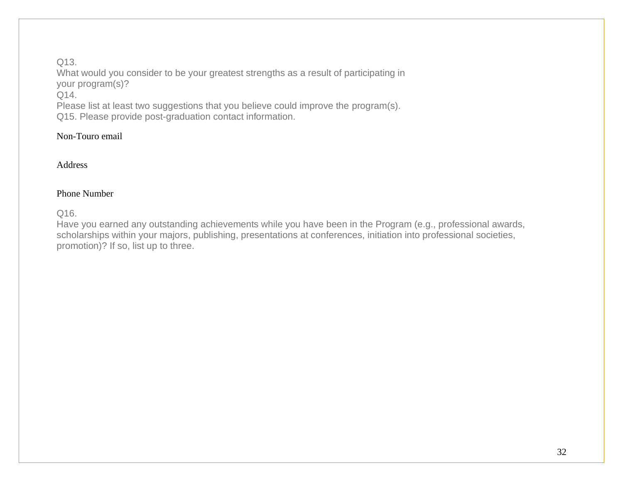## Q13.

What would you consider to be your greatest strengths as a result of participating in your program(s)? Q14.

Please list at least two suggestions that you believe could improve the program(s). Q15. Please provide post-graduation contact information.

## Non-Touro email

## Address

## Phone Number

Q16.

Have you earned any outstanding achievements while you have been in the Program (e.g., professional awards, scholarships within your majors, publishing, presentations at conferences, initiation into professional societies, promotion)? If so, list up to three.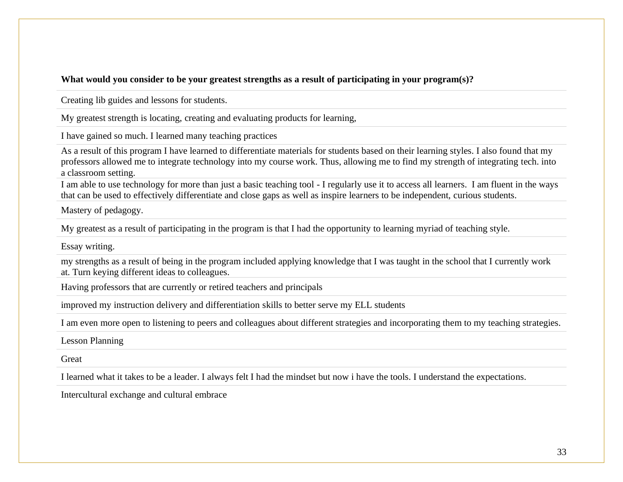## **What would you consider to be your greatest strengths as a result of participating in your program(s)?**

Creating lib guides and lessons for students.

My greatest strength is locating, creating and evaluating products for learning,

I have gained so much. I learned many teaching practices

As a result of this program I have learned to differentiate materials for students based on their learning styles. I also found that my professors allowed me to integrate technology into my course work. Thus, allowing me to find my strength of integrating tech. into a classroom setting.

I am able to use technology for more than just a basic teaching tool - I regularly use it to access all learners. I am fluent in the ways that can be used to effectively differentiate and close gaps as well as inspire learners to be independent, curious students.

Mastery of pedagogy.

My greatest as a result of participating in the program is that I had the opportunity to learning myriad of teaching style.

Essay writing.

my strengths as a result of being in the program included applying knowledge that I was taught in the school that I currently work at. Turn keying different ideas to colleagues.

Having professors that are currently or retired teachers and principals

improved my instruction delivery and differentiation skills to better serve my ELL students

I am even more open to listening to peers and colleagues about different strategies and incorporating them to my teaching strategies.

Lesson Planning

**Great** 

I learned what it takes to be a leader. I always felt I had the mindset but now i have the tools. I understand the expectations.

Intercultural exchange and cultural embrace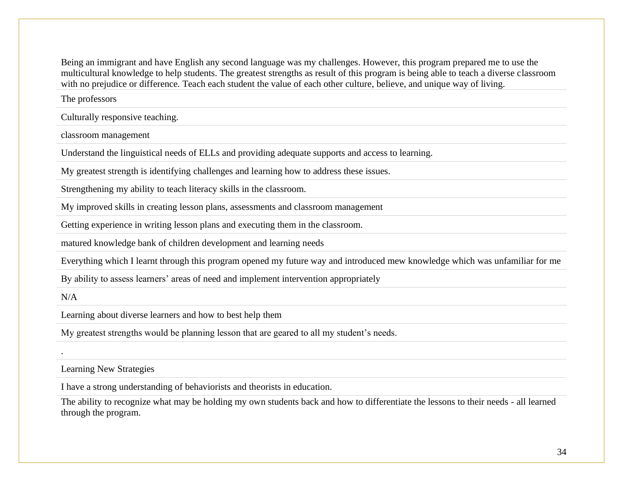Being an immigrant and have English any second language was my challenges. However, this program prepared me to use the multicultural knowledge to help students. The greatest strengths as result of this program is being able to teach a diverse classroom with no prejudice or difference. Teach each student the value of each other culture, believe, and unique way of living.

The professors

Culturally responsive teaching.

classroom management

Understand the linguistical needs of ELLs and providing adequate supports and access to learning.

My greatest strength is identifying challenges and learning how to address these issues.

Strengthening my ability to teach literacy skills in the classroom.

My improved skills in creating lesson plans, assessments and classroom management

Getting experience in writing lesson plans and executing them in the classroom.

matured knowledge bank of children development and learning needs

Everything which I learnt through this program opened my future way and introduced mew knowledge which was unfamiliar for me

By ability to assess learners' areas of need and implement intervention appropriately

 $N/A$ 

.

Learning about diverse learners and how to best help them

My greatest strengths would be planning lesson that are geared to all my student's needs.

Learning New Strategies

I have a strong understanding of behaviorists and theorists in education.

The ability to recognize what may be holding my own students back and how to differentiate the lessons to their needs - all learned through the program.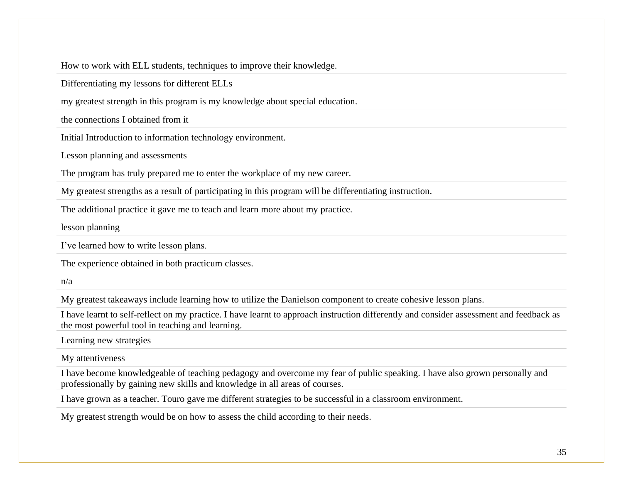How to work with ELL students, techniques to improve their knowledge.

Differentiating my lessons for different ELLs

my greatest strength in this program is my knowledge about special education.

the connections I obtained from it

Initial Introduction to information technology environment.

Lesson planning and assessments

The program has truly prepared me to enter the workplace of my new career.

My greatest strengths as a result of participating in this program will be differentiating instruction.

The additional practice it gave me to teach and learn more about my practice.

lesson planning

I've learned how to write lesson plans.

The experience obtained in both practicum classes.

n/a

My greatest takeaways include learning how to utilize the Danielson component to create cohesive lesson plans.

I have learnt to self-reflect on my practice. I have learnt to approach instruction differently and consider assessment and feedback as the most powerful tool in teaching and learning.

Learning new strategies

My attentiveness

I have become knowledgeable of teaching pedagogy and overcome my fear of public speaking. I have also grown personally and professionally by gaining new skills and knowledge in all areas of courses.

I have grown as a teacher. Touro gave me different strategies to be successful in a classroom environment.

My greatest strength would be on how to assess the child according to their needs.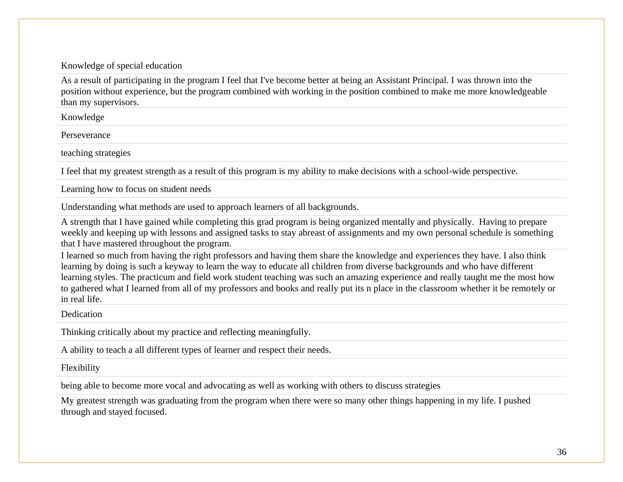## Knowledge of special education

As a result of participating in the program I feel that I've become better at being an Assistant Principal. I was thrown into the position without experience, but the program combined with working in the position combined to make me more knowledgeable than my supervisors.

Knowledge

**Perseverance** 

teaching strategies

I feel that my greatest strength as a result of this program is my ability to make decisions with a school-wide perspective.

Learning how to focus on student needs

Understanding what methods are used to approach learners of all backgrounds.

A strength that I have gained while completing this grad program is being organized mentally and physically. Having to prepare weekly and keeping up with lessons and assigned tasks to stay abreast of assignments and my own personal schedule is something that I have mastered throughout the program.

I learned so much from having the right professors and having them share the knowledge and experiences they have. I also think learning by doing is such a keyway to learn the way to educate all children from diverse backgrounds and who have different learning styles. The practicum and field work student teaching was such an amazing experience and really taught me the most how to gathered what I learned from all of my professors and books and really put its n place in the classroom whether it be remotely or in real life.

**Dedication** 

Thinking critically about my practice and reflecting meaningfully.

A ability to teach a all different types of learner and respect their needs.

Flexibility

being able to become more vocal and advocating as well as working with others to discuss strategies

My greatest strength was graduating from the program when there were so many other things happening in my life. I pushed through and stayed focused.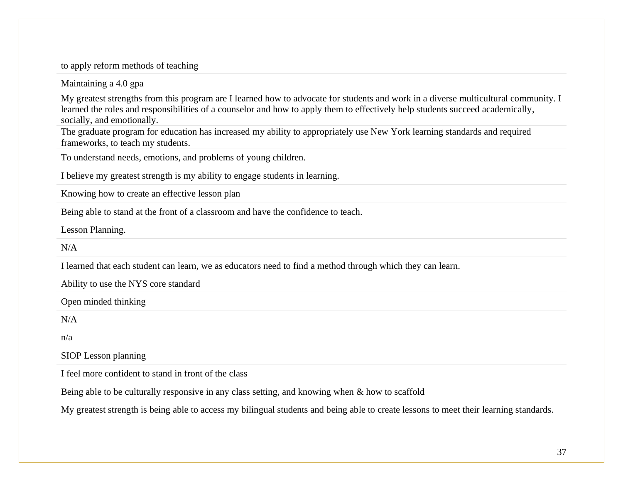to apply reform methods of teaching

Maintaining a 4.0 gpa

My greatest strengths from this program are I learned how to advocate for students and work in a diverse multicultural community. I learned the roles and responsibilities of a counselor and how to apply them to effectively help students succeed academically, socially, and emotionally.

The graduate program for education has increased my ability to appropriately use New York learning standards and required frameworks, to teach my students.

To understand needs, emotions, and problems of young children.

I believe my greatest strength is my ability to engage students in learning.

Knowing how to create an effective lesson plan

Being able to stand at the front of a classroom and have the confidence to teach.

Lesson Planning.

 $N/A$ 

I learned that each student can learn, we as educators need to find a method through which they can learn.

Ability to use the NYS core standard

Open minded thinking

 $N/A$ 

n/a

SIOP Lesson planning

I feel more confident to stand in front of the class

Being able to be culturally responsive in any class setting, and knowing when & how to scaffold

My greatest strength is being able to access my bilingual students and being able to create lessons to meet their learning standards.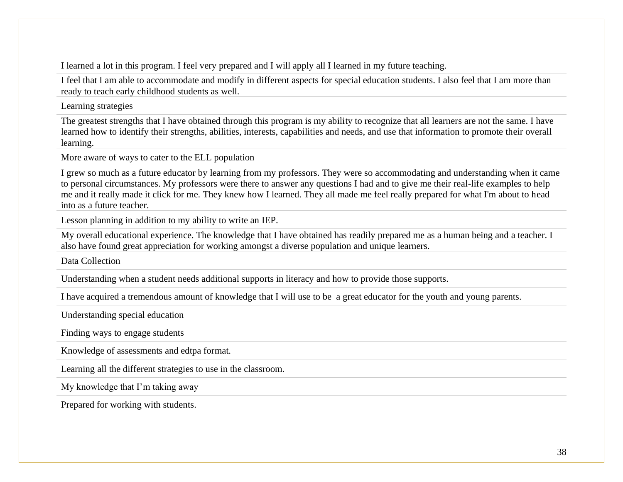I learned a lot in this program. I feel very prepared and I will apply all I learned in my future teaching.

I feel that I am able to accommodate and modify in different aspects for special education students. I also feel that I am more than ready to teach early childhood students as well.

Learning strategies

The greatest strengths that I have obtained through this program is my ability to recognize that all learners are not the same. I have learned how to identify their strengths, abilities, interests, capabilities and needs, and use that information to promote their overall learning.

More aware of ways to cater to the ELL population

I grew so much as a future educator by learning from my professors. They were so accommodating and understanding when it came to personal circumstances. My professors were there to answer any questions I had and to give me their real-life examples to help me and it really made it click for me. They knew how I learned. They all made me feel really prepared for what I'm about to head into as a future teacher.

Lesson planning in addition to my ability to write an IEP.

My overall educational experience. The knowledge that I have obtained has readily prepared me as a human being and a teacher. I also have found great appreciation for working amongst a diverse population and unique learners.

Data Collection

Understanding when a student needs additional supports in literacy and how to provide those supports.

I have acquired a tremendous amount of knowledge that I will use to be a great educator for the youth and young parents.

Understanding special education

Finding ways to engage students

Knowledge of assessments and edtpa format.

Learning all the different strategies to use in the classroom.

My knowledge that I'm taking away

Prepared for working with students.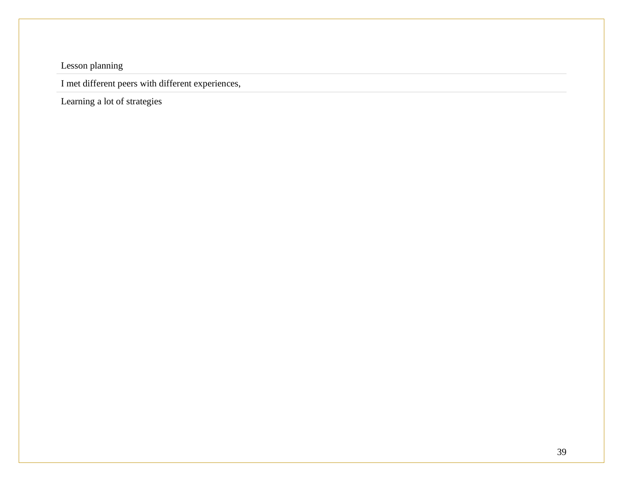Lesson planning

I met different peers with different experiences,

Learning a lot of strategies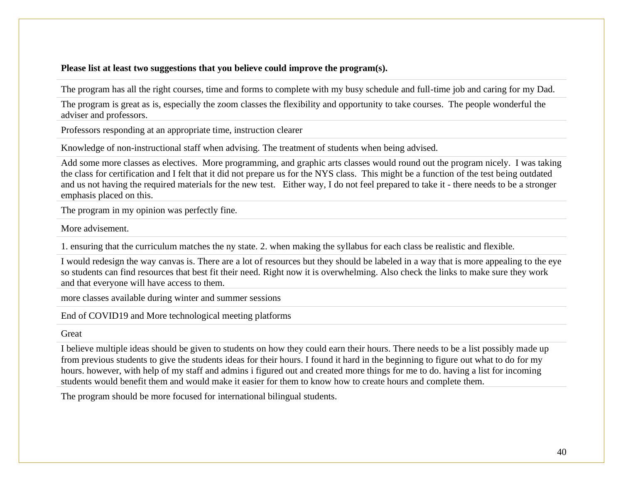## **Please list at least two suggestions that you believe could improve the program(s).**

The program has all the right courses, time and forms to complete with my busy schedule and full-time job and caring for my Dad.

The program is great as is, especially the zoom classes the flexibility and opportunity to take courses. The people wonderful the adviser and professors.

Professors responding at an appropriate time, instruction clearer

Knowledge of non-instructional staff when advising. The treatment of students when being advised.

Add some more classes as electives. More programming, and graphic arts classes would round out the program nicely. I was taking the class for certification and I felt that it did not prepare us for the NYS class. This might be a function of the test being outdated and us not having the required materials for the new test. Either way, I do not feel prepared to take it - there needs to be a stronger emphasis placed on this.

The program in my opinion was perfectly fine.

More advisement.

1. ensuring that the curriculum matches the ny state. 2. when making the syllabus for each class be realistic and flexible.

I would redesign the way canvas is. There are a lot of resources but they should be labeled in a way that is more appealing to the eye so students can find resources that best fit their need. Right now it is overwhelming. Also check the links to make sure they work and that everyone will have access to them.

more classes available during winter and summer sessions

End of COVID19 and More technological meeting platforms

#### **Great**

I believe multiple ideas should be given to students on how they could earn their hours. There needs to be a list possibly made up from previous students to give the students ideas for their hours. I found it hard in the beginning to figure out what to do for my hours. however, with help of my staff and admins i figured out and created more things for me to do. having a list for incoming students would benefit them and would make it easier for them to know how to create hours and complete them.

The program should be more focused for international bilingual students.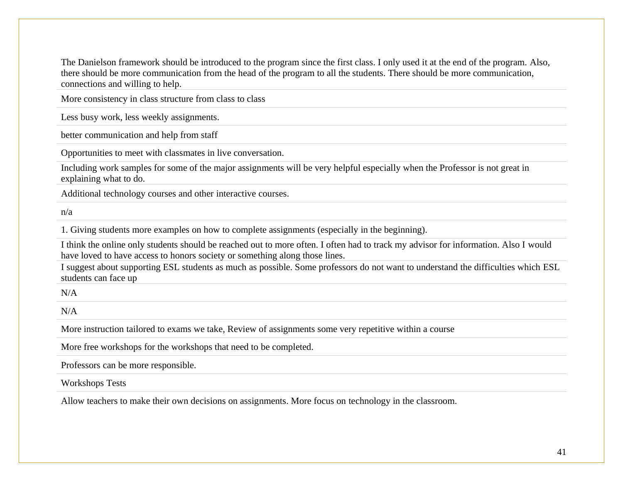The Danielson framework should be introduced to the program since the first class. I only used it at the end of the program. Also, there should be more communication from the head of the program to all the students. There should be more communication, connections and willing to help.

More consistency in class structure from class to class

Less busy work, less weekly assignments.

better communication and help from staff

Opportunities to meet with classmates in live conversation.

Including work samples for some of the major assignments will be very helpful especially when the Professor is not great in explaining what to do.

Additional technology courses and other interactive courses.

n/a

1. Giving students more examples on how to complete assignments (especially in the beginning).

I think the online only students should be reached out to more often. I often had to track my advisor for information. Also I would have loved to have access to honors society or something along those lines.

I suggest about supporting ESL students as much as possible. Some professors do not want to understand the difficulties which ESL students can face up

 $N/A$ 

 $N/A$ 

More instruction tailored to exams we take, Review of assignments some very repetitive within a course

More free workshops for the workshops that need to be completed.

Professors can be more responsible.

Workshops Tests

Allow teachers to make their own decisions on assignments. More focus on technology in the classroom.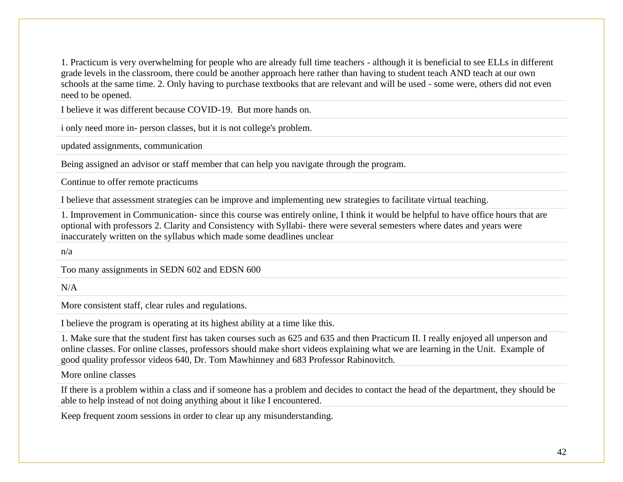1. Practicum is very overwhelming for people who are already full time teachers - although it is beneficial to see ELLs in different grade levels in the classroom, there could be another approach here rather than having to student teach AND teach at our own schools at the same time. 2. Only having to purchase textbooks that are relevant and will be used - some were, others did not even need to be opened.

I believe it was different because COVID-19. But more hands on.

i only need more in- person classes, but it is not college's problem.

updated assignments, communication

Being assigned an advisor or staff member that can help you navigate through the program.

Continue to offer remote practicums

I believe that assessment strategies can be improve and implementing new strategies to facilitate virtual teaching.

1. Improvement in Communication- since this course was entirely online, I think it would be helpful to have office hours that are optional with professors 2. Clarity and Consistency with Syllabi- there were several semesters where dates and years were inaccurately written on the syllabus which made some deadlines unclear

n/a

Too many assignments in SEDN 602 and EDSN 600

 $N/A$ 

More consistent staff, clear rules and regulations.

I believe the program is operating at its highest ability at a time like this.

1. Make sure that the student first has taken courses such as 625 and 635 and then Practicum II. I really enjoyed all unperson and online classes. For online classes, professors should make short videos explaining what we are learning in the Unit. Example of good quality professor videos 640, Dr. Tom Mawhinney and 683 Professor Rabinovitch.

More online classes

If there is a problem within a class and if someone has a problem and decides to contact the head of the department, they should be able to help instead of not doing anything about it like I encountered.

Keep frequent zoom sessions in order to clear up any misunderstanding.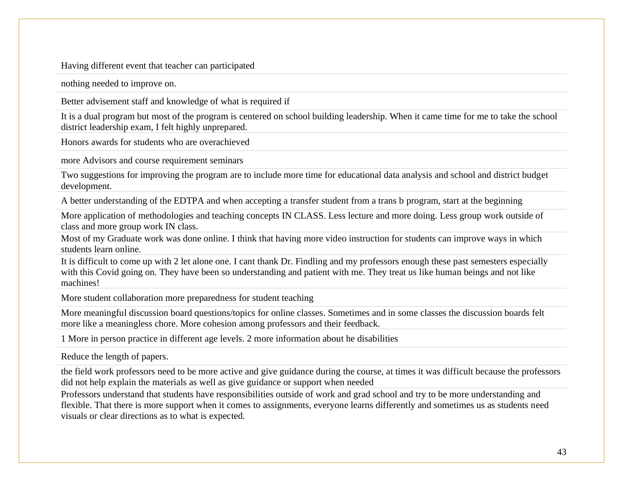Having different event that teacher can participated

nothing needed to improve on.

Better advisement staff and knowledge of what is required if

It is a dual program but most of the program is centered on school building leadership. When it came time for me to take the school district leadership exam, I felt highly unprepared.

Honors awards for students who are overachieved

more Advisors and course requirement seminars

Two suggestions for improving the program are to include more time for educational data analysis and school and district budget development.

A better understanding of the EDTPA and when accepting a transfer student from a trans b program, start at the beginning

More application of methodologies and teaching concepts IN CLASS. Less lecture and more doing. Less group work outside of class and more group work IN class.

Most of my Graduate work was done online. I think that having more video instruction for students can improve ways in which students learn online.

It is difficult to come up with 2 let alone one. I cant thank Dr. Findling and my professors enough these past semesters especially with this Covid going on. They have been so understanding and patient with me. They treat us like human beings and not like machines!

More student collaboration more preparedness for student teaching

More meaningful discussion board questions/topics for online classes. Sometimes and in some classes the discussion boards felt more like a meaningless chore. More cohesion among professors and their feedback.

1 More in person practice in different age levels. 2 more information about he disabilities

Reduce the length of papers.

the field work professors need to be more active and give guidance during the course, at times it was difficult because the professors did not help explain the materials as well as give guidance or support when needed

Professors understand that students have responsibilities outside of work and grad school and try to be more understanding and flexible. That there is more support when it comes to assignments, everyone learns differently and sometimes us as students need visuals or clear directions as to what is expected.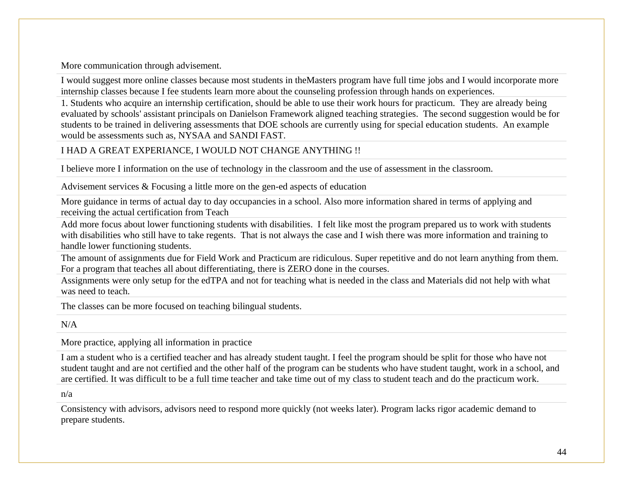More communication through advisement.

I would suggest more online classes because most students in theMasters program have full time jobs and I would incorporate more internship classes because I fee students learn more about the counseling profession through hands on experiences.

1. Students who acquire an internship certification, should be able to use their work hours for practicum. They are already being evaluated by schools' assistant principals on Danielson Framework aligned teaching strategies. The second suggestion would be for students to be trained in delivering assessments that DOE schools are currently using for special education students. An example would be assessments such as, NYSAA and SANDI FAST.

## I HAD A GREAT EXPERIANCE, I WOULD NOT CHANGE ANYTHING !!

I believe more I information on the use of technology in the classroom and the use of assessment in the classroom.

Advisement services & Focusing a little more on the gen-ed aspects of education

More guidance in terms of actual day to day occupancies in a school. Also more information shared in terms of applying and receiving the actual certification from Teach

Add more focus about lower functioning students with disabilities. I felt like most the program prepared us to work with students with disabilities who still have to take regents. That is not always the case and I wish there was more information and training to handle lower functioning students.

The amount of assignments due for Field Work and Practicum are ridiculous. Super repetitive and do not learn anything from them. For a program that teaches all about differentiating, there is ZERO done in the courses.

Assignments were only setup for the edTPA and not for teaching what is needed in the class and Materials did not help with what was need to teach.

The classes can be more focused on teaching bilingual students.

 $N/A$ 

More practice, applying all information in practice

I am a student who is a certified teacher and has already student taught. I feel the program should be split for those who have not student taught and are not certified and the other half of the program can be students who have student taught, work in a school, and are certified. It was difficult to be a full time teacher and take time out of my class to student teach and do the practicum work.

n/a

Consistency with advisors, advisors need to respond more quickly (not weeks later). Program lacks rigor academic demand to prepare students.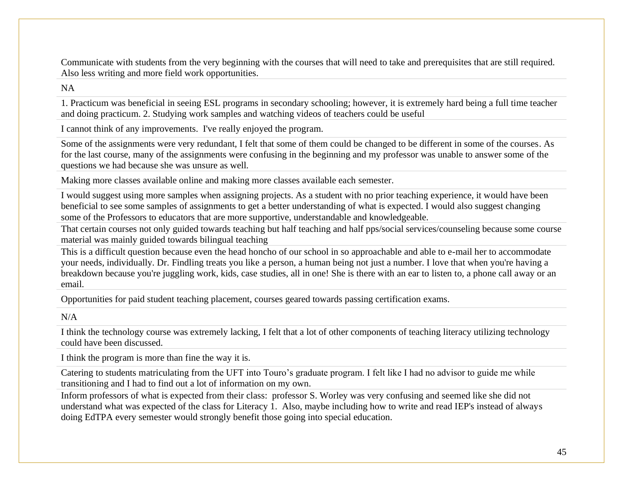Communicate with students from the very beginning with the courses that will need to take and prerequisites that are still required. Also less writing and more field work opportunities.

NA

1. Practicum was beneficial in seeing ESL programs in secondary schooling; however, it is extremely hard being a full time teacher and doing practicum. 2. Studying work samples and watching videos of teachers could be useful

I cannot think of any improvements. I've really enjoyed the program.

Some of the assignments were very redundant, I felt that some of them could be changed to be different in some of the courses. As for the last course, many of the assignments were confusing in the beginning and my professor was unable to answer some of the questions we had because she was unsure as well.

Making more classes available online and making more classes available each semester.

I would suggest using more samples when assigning projects. As a student with no prior teaching experience, it would have been beneficial to see some samples of assignments to get a better understanding of what is expected. I would also suggest changing some of the Professors to educators that are more supportive, understandable and knowledgeable.

That certain courses not only guided towards teaching but half teaching and half pps/social services/counseling because some course material was mainly guided towards bilingual teaching

This is a difficult question because even the head honcho of our school in so approachable and able to e-mail her to accommodate your needs, individually. Dr. Findling treats you like a person, a human being not just a number. I love that when you're having a breakdown because you're juggling work, kids, case studies, all in one! She is there with an ear to listen to, a phone call away or an email.

Opportunities for paid student teaching placement, courses geared towards passing certification exams.

 $N/A$ 

I think the technology course was extremely lacking, I felt that a lot of other components of teaching literacy utilizing technology could have been discussed.

I think the program is more than fine the way it is.

Catering to students matriculating from the UFT into Touro's graduate program. I felt like I had no advisor to guide me while transitioning and I had to find out a lot of information on my own.

Inform professors of what is expected from their class: professor S. Worley was very confusing and seemed like she did not understand what was expected of the class for Literacy 1. Also, maybe including how to write and read IEP's instead of always doing EdTPA every semester would strongly benefit those going into special education.